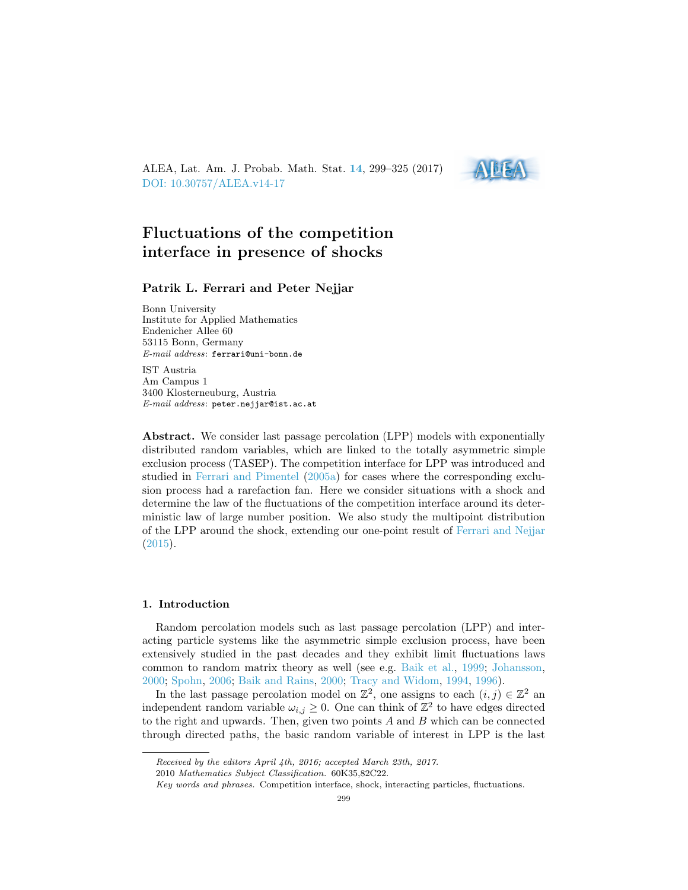ALEA, Lat. Am. J. Probab. Math. Stat. [14](http://alea.impa.br/english/index_v14.htm), 299–325 (2017) [DOI: 10.30757/ALEA.v14-17](https://doi.org/10.30757/ALEA.v14-17)



# Fluctuations of the competition interface in presence of shocks

## Patrik L. Ferrari and Peter Nejjar

Bonn University Institute for Applied Mathematics Endenicher Allee 60 53115 Bonn, Germany E-mail address: ferrari@uni-bonn.de

IST Austria Am Campus 1 3400 Klosterneuburg, Austria E-mail address: peter.nejjar@ist.ac.at

Abstract. We consider last passage percolation (LPP) models with exponentially distributed random variables, which are linked to the totally asymmetric simple exclusion process (TASEP). The competition interface for LPP was introduced and studied in [Ferrari and Pimentel](#page-24-0) [\(2005a\)](#page-24-0) for cases where the corresponding exclusion process had a rarefaction fan. Here we consider situations with a shock and determine the law of the fluctuations of the competition interface around its deterministic law of large number position. We also study the multipoint distribution of the LPP around the shock, extending our one-point result of [Ferrari and Nejjar](#page-25-0) [\(2015\)](#page-25-0).

## 1. Introduction

Random percolation models such as last passage percolation (LPP) and interacting particle systems like the asymmetric simple exclusion process, have been extensively studied in the past decades and they exhibit limit fluctuations laws common to random matrix theory as well (see e.g. [Baik et al.,](#page-23-0) [1999;](#page-23-0) [Johansson,](#page-25-1) [2000;](#page-25-1) [Spohn,](#page-26-0) [2006;](#page-26-0) [Baik and Rains,](#page-23-1) [2000;](#page-23-1) [Tracy and Widom,](#page-26-1) [1994,](#page-26-1) [1996\)](#page-26-2).

In the last passage percolation model on  $\mathbb{Z}^2$ , one assigns to each  $(i, j) \in \mathbb{Z}^2$  and independent random variable  $\omega_{i,j} \geq 0$ . One can think of  $\mathbb{Z}^2$  to have edges directed to the right and upwards. Then, given two points  $A$  and  $B$  which can be connected through directed paths, the basic random variable of interest in LPP is the last

Received by the editors April 4th, 2016; accepted March 23th, 2017.

<sup>2010</sup> Mathematics Subject Classification. 60K35,82C22.

Key words and phrases. Competition interface, shock, interacting particles, fluctuations.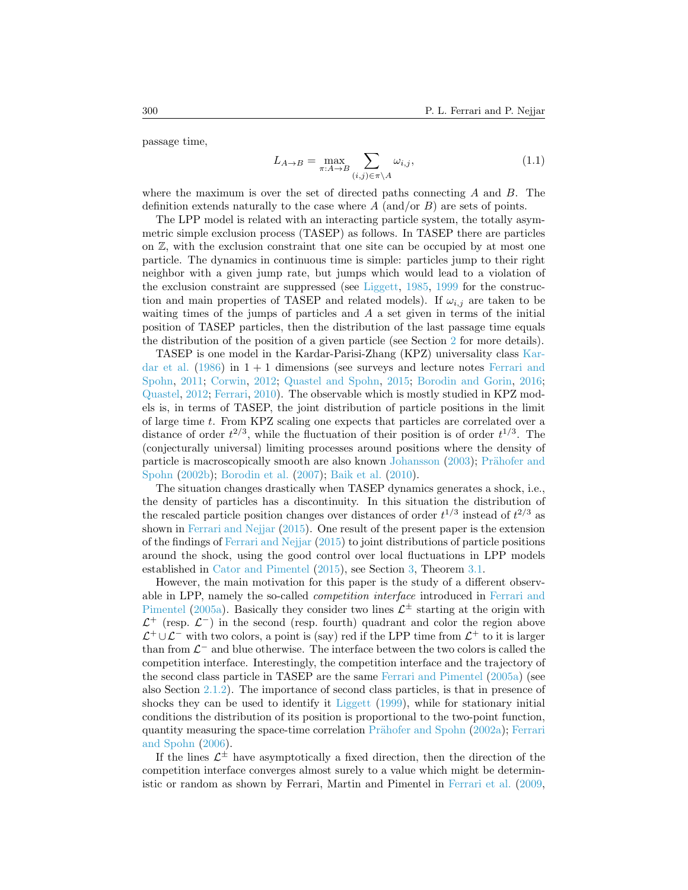passage time,

$$
L_{A \to B} = \max_{\pi: A \to B} \sum_{(i,j) \in \pi \backslash A} \omega_{i,j},\tag{1.1}
$$

where the maximum is over the set of directed paths connecting  $A$  and  $B$ . The definition extends naturally to the case where  $A$  (and/or  $B$ ) are sets of points.

The LPP model is related with an interacting particle system, the totally asymmetric simple exclusion process (TASEP) as follows. In TASEP there are particles on  $\mathbb{Z}$ , with the exclusion constraint that one site can be occupied by at most one particle. The dynamics in continuous time is simple: particles jump to their right neighbor with a given jump rate, but jumps which would lead to a violation of the exclusion constraint are suppressed (see [Liggett,](#page-25-2) [1985,](#page-25-2) [1999](#page-25-3) for the construction and main properties of TASEP and related models). If  $\omega_{i,j}$  are taken to be waiting times of the jumps of particles and  $A$  a set given in terms of the initial position of TASEP particles, then the distribution of the last passage time equals the distribution of the position of a given particle (see Section [2](#page-2-0) for more details).

TASEP is one model in the Kardar-Parisi-Zhang (KPZ) universality class [Kar](#page-25-4)[dar et al.](#page-25-4)  $(1986)$  in  $1 + 1$  dimensions (see surveys and lecture notes [Ferrari and](#page-25-5) [Spohn,](#page-25-5) [2011;](#page-25-5) [Corwin,](#page-24-1) [2012;](#page-24-1) [Quastel and Spohn,](#page-26-3) [2015;](#page-26-3) [Borodin and Gorin,](#page-24-2) [2016;](#page-24-2) [Quastel,](#page-25-6) [2012;](#page-25-6) [Ferrari,](#page-25-7) [2010\)](#page-25-7). The observable which is mostly studied in KPZ models is, in terms of TASEP, the joint distribution of particle positions in the limit of large time t. From KPZ scaling one expects that particles are correlated over a distance of order  $t^{2/3}$ , while the fluctuation of their position is of order  $t^{1/3}$ . The (conjecturally universal) limiting processes around positions where the density of particle is macroscopically smooth are also known [Johansson](#page-25-8) [\(2003\)](#page-25-8); Prähofer and [Spohn](#page-25-9) [\(2002b\)](#page-25-9); [Borodin et al.](#page-23-2) [\(2007\)](#page-23-2); [Baik et al.](#page-23-3) [\(2010\)](#page-23-3).

The situation changes drastically when TASEP dynamics generates a shock, i.e., the density of particles has a discontinuity. In this situation the distribution of the rescaled particle position changes over distances of order  $t^{1/3}$  instead of  $t^{2/3}$  as shown in [Ferrari and Nejjar](#page-25-0) [\(2015\)](#page-25-0). One result of the present paper is the extension of the findings of [Ferrari and Nejjar](#page-25-0) [\(2015\)](#page-25-0) to joint distributions of particle positions around the shock, using the good control over local fluctuations in LPP models established in [Cator and Pimentel](#page-24-3) [\(2015\)](#page-24-3), see Section [3,](#page-14-0) Theorem [3.1.](#page-15-0)

However, the main motivation for this paper is the study of a different observable in LPP, namely the so-called competition interface introduced in [Ferrari and](#page-24-0) [Pimentel](#page-24-0) [\(2005a\)](#page-24-0). Basically they consider two lines  $\mathcal{L}^{\pm}$  starting at the origin with  $\mathcal{L}^+$  (resp.  $\mathcal{L}^-$ ) in the second (resp. fourth) quadrant and color the region above  $\mathcal{L}^+ \cup \mathcal{L}^-$  with two colors, a point is (say) red if the LPP time from  $\mathcal{L}^+$  to it is larger than from  $\mathcal{L}^-$  and blue otherwise. The interface between the two colors is called the competition interface. Interestingly, the competition interface and the trajectory of the second class particle in TASEP are the same [Ferrari and Pimentel](#page-24-0) [\(2005a\)](#page-24-0) (see also Section [2.1.2\)](#page-5-0). The importance of second class particles, is that in presence of shocks they can be used to identify it [Liggett](#page-25-3) [\(1999\)](#page-25-3), while for stationary initial conditions the distribution of its position is proportional to the two-point function, quantity measuring the space-time correlation Prähofer and Spohn [\(2002a\)](#page-25-10); [Ferrari](#page-25-11) [and Spohn](#page-25-11) [\(2006\)](#page-25-11).

If the lines  $\mathcal{L}^{\pm}$  have asymptotically a fixed direction, then the direction of the competition interface converges almost surely to a value which might be deterministic or random as shown by Ferrari, Martin and Pimentel in [Ferrari et al.](#page-24-4) [\(2009,](#page-24-4)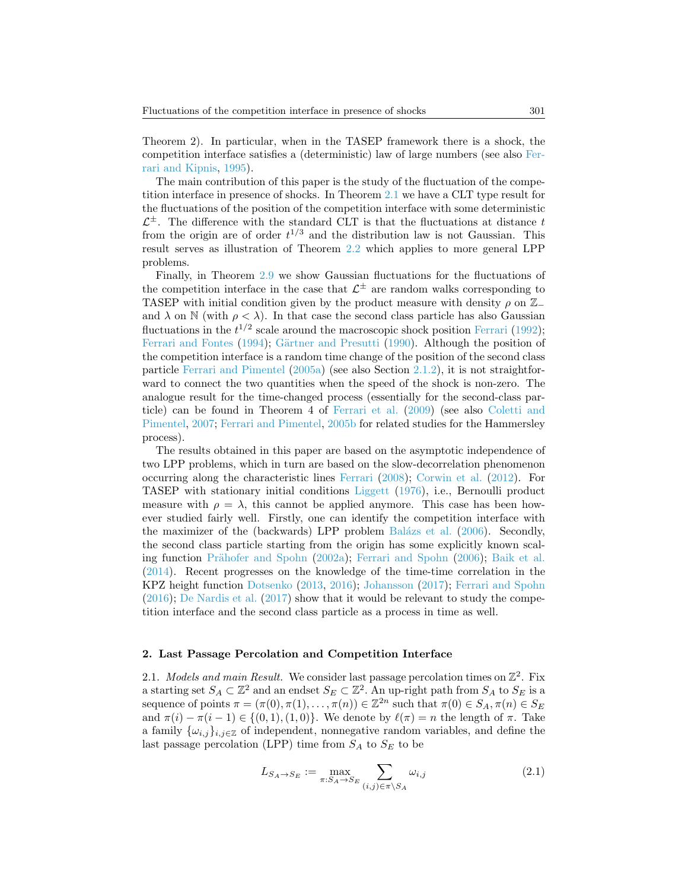Theorem 2). In particular, when in the TASEP framework there is a shock, the competition interface satisfies a (deterministic) law of large numbers (see also [Fer](#page-24-5)[rari and Kipnis,](#page-24-5) [1995\)](#page-24-5).

The main contribution of this paper is the study of the fluctuation of the competition interface in presence of shocks. In Theorem [2.1](#page-5-1) we have a CLT type result for the fluctuations of the position of the competition interface with some deterministic  $\mathcal{L}^{\pm}$ . The difference with the standard CLT is that the fluctuations at distance t from the origin are of order  $t^{1/3}$  and the distribution law is not Gaussian. This result serves as illustration of Theorem [2.2](#page-8-0) which applies to more general LPP problems.

Finally, in Theorem [2.9](#page-13-0) we show Gaussian fluctuations for the fluctuations of the competition interface in the case that  $\mathcal{L}^{\pm}$  are random walks corresponding to TASEP with initial condition given by the product measure with density  $\rho$  on  $\mathbb{Z}_$ and  $\lambda$  on N (with  $\rho < \lambda$ ). In that case the second class particle has also Gaussian fluctuations in the  $t^{1/2}$  scale around the macroscopic shock position [Ferrari](#page-24-6) [\(1992\)](#page-24-6); [Ferrari and Fontes](#page-24-7) [\(1994\)](#page-24-7); Gärtner and Presutti [\(1990\)](#page-25-12). Although the position of the competition interface is a random time change of the position of the second class particle [Ferrari and Pimentel](#page-24-0) [\(2005a\)](#page-24-0) (see also Section [2.1.2\)](#page-5-0), it is not straightforward to connect the two quantities when the speed of the shock is non-zero. The analogue result for the time-changed process (essentially for the second-class particle) can be found in Theorem 4 of [Ferrari et al.](#page-24-4) [\(2009\)](#page-24-4) (see also [Coletti and](#page-24-8) [Pimentel,](#page-24-8) [2007;](#page-24-8) [Ferrari and Pimentel,](#page-24-9) [2005b](#page-24-9) for related studies for the Hammersley process).

The results obtained in this paper are based on the asymptotic independence of two LPP problems, which in turn are based on the slow-decorrelation phenomenon occurring along the characteristic lines [Ferrari](#page-24-10) [\(2008\)](#page-24-10); [Corwin et al.](#page-24-11) [\(2012\)](#page-24-11). For TASEP with stationary initial conditions [Liggett](#page-25-13) [\(1976\)](#page-25-13), i.e., Bernoulli product measure with  $\rho = \lambda$ , this cannot be applied anymore. This case has been however studied fairly well. Firstly, one can identify the competition interface with the maximizer of the (backwards) LPP problem Balázs et al. [\(2006\)](#page-23-4). Secondly, the second class particle starting from the origin has some explicitly known scal-ing function Prähofer and Spohn [\(2002a\)](#page-25-10); [Ferrari and Spohn](#page-25-11) [\(2006\)](#page-25-11); [Baik et al.](#page-23-5) [\(2014\)](#page-23-5). Recent progresses on the knowledge of the time-time correlation in the KPZ height function [Dotsenko](#page-24-12) [\(2013,](#page-24-12) [2016\)](#page-24-13); [Johansson](#page-25-14) [\(2017\)](#page-25-14); [Ferrari and Spohn](#page-25-15)  $(2016)$ ; [De Nardis et al.](#page-24-14)  $(2017)$  show that it would be relevant to study the competition interface and the second class particle as a process in time as well.

### <span id="page-2-0"></span>2. Last Passage Percolation and Competition Interface

2.1. Models and main Result. We consider last passage percolation times on  $\mathbb{Z}^2$ . Fix a starting set  $S_A \subset \mathbb{Z}^2$  and an endset  $S_E \subset \mathbb{Z}^2$ . An up-right path from  $S_A$  to  $S_E$  is a sequence of points  $\pi = (\pi(0), \pi(1), \ldots, \pi(n)) \in \mathbb{Z}^{2n}$  such that  $\pi(0) \in S_A$ ,  $\pi(n) \in S_E$ and  $\pi(i) - \pi(i-1) \in \{(0,1), (1,0)\}.$  We denote by  $\ell(\pi) = n$  the length of  $\pi$ . Take a family  $\{\omega_{i,j}\}_{i,j\in\mathbb{Z}}$  of independent, nonnegative random variables, and define the last passage percolation (LPP) time from  $S_A$  to  $S_E$  to be

<span id="page-2-1"></span>
$$
L_{S_A \to S_E} := \max_{\pi: S_A \to S_E} \sum_{(i,j) \in \pi \backslash S_A} \omega_{i,j}
$$
 (2.1)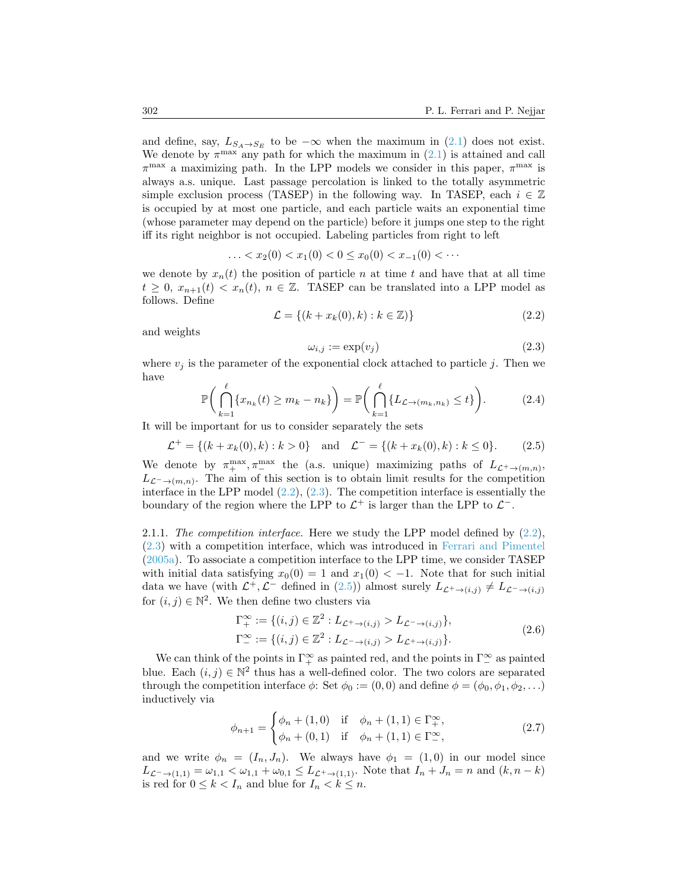and define, say,  $L_{S_A\to S_E}$  to be  $-\infty$  when the maximum in [\(2.1\)](#page-2-1) does not exist. We denote by  $\pi^{\max}$  any path for which the maximum in [\(2.1\)](#page-2-1) is attained and call  $\pi^{\max}$  a maximizing path. In the LPP models we consider in this paper,  $\pi^{\max}$  is always a.s. unique. Last passage percolation is linked to the totally asymmetric simple exclusion process (TASEP) in the following way. In TASEP, each  $i \in \mathbb{Z}$ is occupied by at most one particle, and each particle waits an exponential time (whose parameter may depend on the particle) before it jumps one step to the right iff its right neighbor is not occupied. Labeling particles from right to left

$$
\ldots < x_2(0) < x_1(0) < 0 \le x_0(0) < x_{-1}(0) < \cdots
$$

we denote by  $x_n(t)$  the position of particle n at time t and have that at all time  $t \geq 0$ ,  $x_{n+1}(t) < x_n(t)$ ,  $n \in \mathbb{Z}$ . TASEP can be translated into a LPP model as follows. Define

<span id="page-3-0"></span>
$$
\mathcal{L} = \{(k + x_k(0), k) : k \in \mathbb{Z})\}\tag{2.2}
$$

and weights

<span id="page-3-1"></span>
$$
\omega_{i,j} := \exp(v_j) \tag{2.3}
$$

where  $v_i$  is the parameter of the exponential clock attached to particle j. Then we have

<span id="page-3-4"></span>
$$
\mathbb{P}\bigg(\bigcap_{k=1}^{\ell} \{x_{n_k}(t) \ge m_k - n_k\}\bigg) = \mathbb{P}\bigg(\bigcap_{k=1}^{\ell} \{L_{\mathcal{L}\to(m_k,n_k)} \le t\}\bigg). \tag{2.4}
$$

It will be important for us to consider separately the sets

<span id="page-3-2"></span>
$$
\mathcal{L}^+ = \{(k + x_k(0), k) : k > 0\} \quad \text{and} \quad \mathcal{L}^- = \{(k + x_k(0), k) : k \le 0\}.
$$
 (2.5)

We denote by  $\pi_+^{\max}, \pi_-^{\max}$  the (a.s. unique) maximizing paths of  $L_{\mathcal{L}^+ \to (m,n)}$ ,  $L_{\mathcal{L}^{-}\to(m,n)}$ . The aim of this section is to obtain limit results for the competition interface in the LPP model  $(2.2)$ ,  $(2.3)$ . The competition interface is essentially the boundary of the region where the LPP to  $\mathcal{L}^+$  is larger than the LPP to  $\mathcal{L}^-$ .

2.1.1. The competition interface. Here we study the LPP model defined by  $(2.2)$ , [\(2.3\)](#page-3-1) with a competition interface, which was introduced in [Ferrari and Pimentel](#page-24-0) [\(2005a\)](#page-24-0). To associate a competition interface to the LPP time, we consider TASEP with initial data satisfying  $x_0(0) = 1$  and  $x_1(0) < -1$ . Note that for such initial data we have (with  $\mathcal{L}^+$ ,  $\mathcal{L}^-$  defined in [\(2.5\)](#page-3-2)) almost surely  $L_{\mathcal{L}^+ \to (i,j)} \neq L_{\mathcal{L}^- \to (i,j)}$ for  $(i, j) \in \mathbb{N}^2$ . We then define two clusters via

$$
\Gamma_+^{\infty} := \{ (i, j) \in \mathbb{Z}^2 : L_{\mathcal{L}^+ \to (i, j)} > L_{\mathcal{L}^- \to (i, j)} \},
$$
  
\n
$$
\Gamma_-^{\infty} := \{ (i, j) \in \mathbb{Z}^2 : L_{\mathcal{L}^- \to (i, j)} > L_{\mathcal{L}^+ \to (i, j)} \}.
$$
\n(2.6)

We can think of the points in  $\Gamma_+^{\infty}$  as painted red, and the points in  $\Gamma_-^{\infty}$  as painted blue. Each  $(i, j) \in \mathbb{N}^2$  thus has a well-defined color. The two colors are separated through the competition interface  $\phi$ : Set  $\phi_0 := (0,0)$  and define  $\phi = (\phi_0, \phi_1, \phi_2, \ldots)$ inductively via

<span id="page-3-3"></span>
$$
\phi_{n+1} = \begin{cases} \phi_n + (1,0) & \text{if } \phi_n + (1,1) \in \Gamma_+^{\infty}, \\ \phi_n + (0,1) & \text{if } \phi_n + (1,1) \in \Gamma_-^{\infty}, \end{cases}
$$
 (2.7)

and we write  $\phi_n = (I_n, J_n)$ . We always have  $\phi_1 = (1, 0)$  in our model since  $L_{\mathcal{L}^{-}\to(1,1)} = \omega_{1,1} < \omega_{1,1} + \omega_{0,1} \leq L_{\mathcal{L}^{+}\to(1,1)}$ . Note that  $I_n + J_n = n$  and  $(k, n - k)$ is red for  $0 \leq k < I_n$  and blue for  $I_n < k \leq n$ .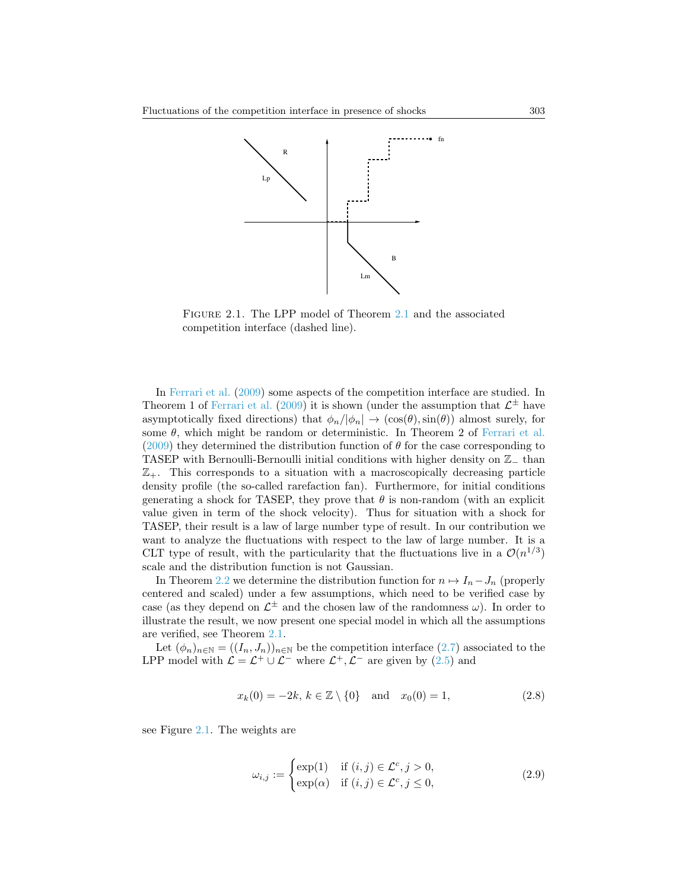

<span id="page-4-0"></span>Figure 2.1. The LPP model of Theorem [2.1](#page-5-1) and the associated competition interface (dashed line).

In [Ferrari et al.](#page-24-4) [\(2009\)](#page-24-4) some aspects of the competition interface are studied. In Theorem 1 of [Ferrari et al.](#page-24-4) [\(2009\)](#page-24-4) it is shown (under the assumption that  $\mathcal{L}^{\pm}$  have asymptotically fixed directions) that  $\phi_n/|\phi_n| \to (\cos(\theta), \sin(\theta))$  almost surely, for some  $\theta$ , which might be random or deterministic. In Theorem 2 of [Ferrari et al.](#page-24-4) [\(2009\)](#page-24-4) they determined the distribution function of  $\theta$  for the case corresponding to TASEP with Bernoulli-Bernoulli initial conditions with higher density on Z<sup>−</sup> than  $\mathbb{Z}_+$ . This corresponds to a situation with a macroscopically decreasing particle density profile (the so-called rarefaction fan). Furthermore, for initial conditions generating a shock for TASEP, they prove that  $\theta$  is non-random (with an explicit value given in term of the shock velocity). Thus for situation with a shock for TASEP, their result is a law of large number type of result. In our contribution we want to analyze the fluctuations with respect to the law of large number. It is a CLT type of result, with the particularity that the fluctuations live in a  $\mathcal{O}(n^{1/3})$ scale and the distribution function is not Gaussian.

In Theorem [2.2](#page-8-0) we determine the distribution function for  $n \mapsto I_n - J_n$  (properly centered and scaled) under a few assumptions, which need to be verified case by case (as they depend on  $\mathcal{L}^{\pm}$  and the chosen law of the randomness  $\omega$ ). In order to illustrate the result, we now present one special model in which all the assumptions are verified, see Theorem [2.1.](#page-5-1)

Let  $(\phi_n)_{n\in\mathbb{N}} = ((I_n, J_n))_{n\in\mathbb{N}}$  be the competition interface  $(2.7)$  associated to the LPP model with  $\mathcal{L} = \mathcal{L}^+ \cup \mathcal{L}^-$  where  $\mathcal{L}^+, \mathcal{L}^-$  are given by [\(2.5\)](#page-3-2) and

<span id="page-4-2"></span>
$$
x_k(0) = -2k, \ k \in \mathbb{Z} \setminus \{0\} \quad \text{and} \quad x_0(0) = 1,\tag{2.8}
$$

see Figure [2.1.](#page-4-0) The weights are

<span id="page-4-1"></span>
$$
\omega_{i,j} := \begin{cases} \exp(1) & \text{if } (i,j) \in \mathcal{L}^c, j > 0, \\ \exp(\alpha) & \text{if } (i,j) \in \mathcal{L}^c, j \le 0, \end{cases}
$$
(2.9)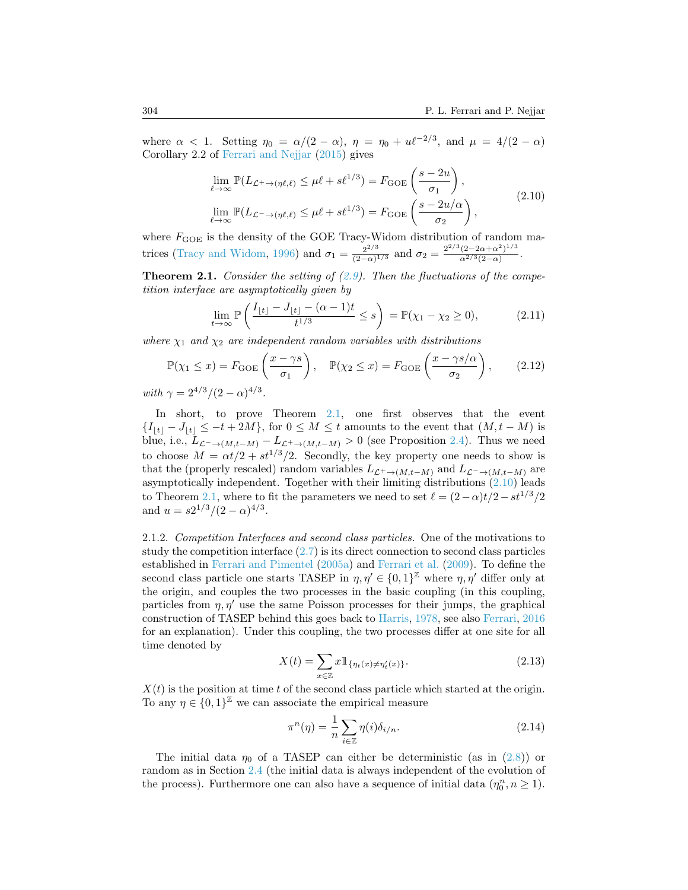where  $\alpha < 1$ . Setting  $\eta_0 = \alpha/(2 - \alpha)$ ,  $\eta = \eta_0 + u\ell^{-2/3}$ , and  $\mu = 4/(2 - \alpha)$ Corollary 2.2 of [Ferrari and Nejjar](#page-25-0) [\(2015\)](#page-25-0) gives

<span id="page-5-2"></span>
$$
\lim_{\ell \to \infty} \mathbb{P}(L_{\mathcal{L}^+ \to (\eta \ell, \ell)} \le \mu \ell + s \ell^{1/3}) = F_{\text{GOE}}\left(\frac{s - 2u}{\sigma_1}\right),
$$
\n
$$
\lim_{\ell \to \infty} \mathbb{P}(L_{\mathcal{L}^- \to (\eta \ell, \ell)} \le \mu \ell + s \ell^{1/3}) = F_{\text{GOE}}\left(\frac{s - 2u/\alpha}{\sigma_2}\right),
$$
\n(2.10)

where  $F_{\text{GOE}}$  is the density of the GOE Tracy-Widom distribution of random ma-trices [\(Tracy and Widom,](#page-26-2) [1996\)](#page-26-2) and  $\sigma_1 = \frac{2^{2/3}}{(2-\alpha)^3}$  $\frac{2^{2/3}}{(2-\alpha)^{1/3}}$  and  $\sigma_2 = \frac{2^{2/3}(2-2\alpha+\alpha^2)^{1/3}}{\alpha^{2/3}(2-\alpha)}$  $\frac{(2-2\alpha+\alpha^{-})^{-\gamma}}{\alpha^{2/3}(2-\alpha)}$ .

<span id="page-5-1"></span>**Theorem 2.1.** Consider the setting of  $(2.9)$ . Then the fluctuations of the competition interface are asymptotically given by

$$
\lim_{t \to \infty} \mathbb{P}\left(\frac{I_{\lfloor t \rfloor} - J_{\lfloor t \rfloor} - (\alpha - 1)t}{t^{1/3}} \le s\right) = \mathbb{P}(\chi_1 - \chi_2 \ge 0),\tag{2.11}
$$

where  $\chi_1$  and  $\chi_2$  are independent random variables with distributions

$$
\mathbb{P}(\chi_1 \le x) = F_{\text{GOE}}\left(\frac{x - \gamma s}{\sigma_1}\right), \quad \mathbb{P}(\chi_2 \le x) = F_{\text{GOE}}\left(\frac{x - \gamma s/\alpha}{\sigma_2}\right), \tag{2.12}
$$

with  $\gamma = 2^{4/3}/(2-\alpha)^{4/3}$ .

In short, to prove Theorem [2.1,](#page-5-1) one first observes that the event  ${I_{|t|}} - J_{|t|} \le -t + 2M$ , for  $0 \le M \le t$  amounts to the event that  $(M, t - M)$  is blue, i.e.,  $L_{\mathcal{L}^{-}\to (M,t-M)} - L_{\mathcal{L}^{+}\to (M,t-M)} > 0$  (see Proposition [2.4\)](#page-8-1). Thus we need to choose  $M = \alpha t/2 + st^{1/3}/2$ . Secondly, the key property one needs to show is that the (properly rescaled) random variables  $L_{\mathcal{L}^+ \to (M,t-M)}$  and  $L_{\mathcal{L}^- \to (M,t-M)}$  are asymptotically independent. Together with their limiting distributions [\(2.10\)](#page-5-2) leads to Theorem [2.1,](#page-5-1) where to fit the parameters we need to set  $\ell = (2-\alpha)t/2 - st^{1/3}/2$ and  $u = s2^{1/3}/(2-\alpha)^{4/3}$ .

<span id="page-5-0"></span>2.1.2. Competition Interfaces and second class particles. One of the motivations to study the competition interface [\(2.7\)](#page-3-3) is its direct connection to second class particles established in [Ferrari and Pimentel](#page-24-0) [\(2005a\)](#page-24-0) and [Ferrari et al.](#page-24-4) [\(2009\)](#page-24-4). To define the second class particle one starts TASEP in  $\eta, \eta' \in \{0, 1\}^{\mathbb{Z}}$  where  $\eta, \eta'$  differ only at the origin, and couples the two processes in the basic coupling (in this coupling, particles from  $\eta$ ,  $\eta'$  use the same Poisson processes for their jumps, the graphical construction of TASEP behind this goes back to [Harris,](#page-25-16) [1978,](#page-25-16) see also [Ferrari,](#page-24-15) [2016](#page-24-15) for an explanation). Under this coupling, the two processes differ at one site for all time denoted by

$$
X(t) = \sum_{x \in \mathbb{Z}} x \mathbb{1}_{\{\eta_t(x) \neq \eta'_t(x)\}}.
$$
\n(2.13)

 $X(t)$  is the position at time t of the second class particle which started at the origin. To any  $\eta \in \{0,1\}^{\mathbb{Z}}$  we can associate the empirical measure

$$
\pi^n(\eta) = \frac{1}{n} \sum_{i \in \mathbb{Z}} \eta(i) \delta_{i/n}.
$$
\n(2.14)

The initial data  $\eta_0$  of a TASEP can either be deterministic (as in [\(2.8\)](#page-4-2)) or random as in Section [2.4](#page-12-0) (the initial data is always independent of the evolution of the process). Furthermore one can also have a sequence of initial data  $(\eta_0^n, n \ge 1)$ .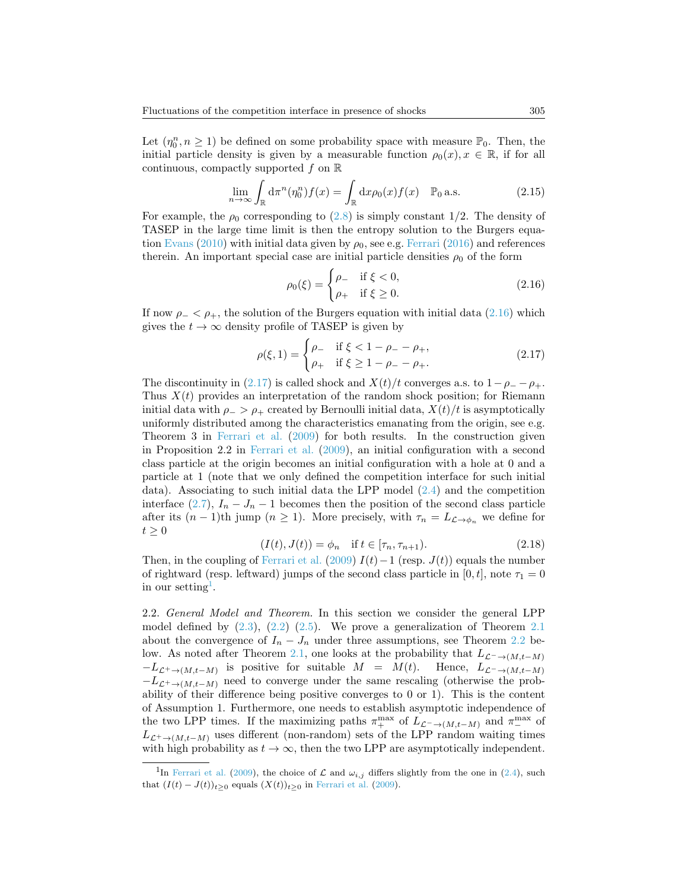Let  $(\eta_0^n, n \ge 1)$  be defined on some probability space with measure  $\mathbb{P}_0$ . Then, the initial particle density is given by a measurable function  $\rho_0(x), x \in \mathbb{R}$ , if for all continuous, compactly supported f on  $\mathbb R$ 

$$
\lim_{n \to \infty} \int_{\mathbb{R}} d\pi^n (\eta_0^n) f(x) = \int_{\mathbb{R}} d x \rho_0(x) f(x) \quad \mathbb{P}_0 \text{ a.s.}
$$
 (2.15)

For example, the  $\rho_0$  corresponding to [\(2.8\)](#page-4-2) is simply constant 1/2. The density of TASEP in the large time limit is then the entropy solution to the Burgers equa-tion [Evans](#page-24-16) [\(2010\)](#page-24-16) with initial data given by  $\rho_0$ , see e.g. [Ferrari](#page-24-15) [\(2016\)](#page-24-15) and references therein. An important special case are initial particle densities  $\rho_0$  of the form

<span id="page-6-0"></span>
$$
\rho_0(\xi) = \begin{cases} \rho_- & \text{if } \xi < 0, \\ \rho_+ & \text{if } \xi \ge 0. \end{cases} \tag{2.16}
$$

If now  $\rho_-\langle \rho_+, \rho_+ \rangle$  the solution of the Burgers equation with initial data [\(2.16\)](#page-6-0) which gives the  $t \to \infty$  density profile of TASEP is given by

<span id="page-6-1"></span>
$$
\rho(\xi, 1) = \begin{cases} \rho_- & \text{if } \xi < 1 - \rho_- - \rho_+, \\ \rho_+ & \text{if } \xi \ge 1 - \rho_- - \rho_+ . \end{cases}
$$
\n(2.17)

The discontinuity in [\(2.17\)](#page-6-1) is called shock and  $X(t)/t$  converges a.s. to  $1-\rho_--\rho_+$ . Thus  $X(t)$  provides an interpretation of the random shock position; for Riemann initial data with  $\rho > \rho_+$  created by Bernoulli initial data,  $X(t)/t$  is asymptotically uniformly distributed among the characteristics emanating from the origin, see e.g. Theorem 3 in [Ferrari et al.](#page-24-4) [\(2009\)](#page-24-4) for both results. In the construction given in Proposition 2.2 in [Ferrari et al.](#page-24-4) [\(2009\)](#page-24-4), an initial configuration with a second class particle at the origin becomes an initial configuration with a hole at 0 and a particle at 1 (note that we only defined the competition interface for such initial data). Associating to such initial data the LPP model [\(2.4\)](#page-3-4) and the competition interface [\(2.7\)](#page-3-3),  $I_n - J_n - 1$  becomes then the position of the second class particle after its  $(n-1)$ th jump  $(n \geq 1)$ . More precisely, with  $\tau_n = L_{\mathcal{L} \to \phi_n}$  we define for  $t > 0$ 

<span id="page-6-3"></span>
$$
(I(t), J(t)) = \phi_n \quad \text{if } t \in [\tau_n, \tau_{n+1}). \tag{2.18}
$$

Then, in the coupling of [Ferrari et al.](#page-24-4) [\(2009\)](#page-24-4)  $I(t)-1$  (resp.  $J(t)$ ) equals the number of rightward (resp. leftward) jumps of the second class particle in [0, t], note  $\tau_1 = 0$ in our setting<sup>[1](#page-6-2)</sup>.

<span id="page-6-4"></span>2.2. General Model and Theorem. In this section we consider the general LPP model defined by  $(2.3)$ ,  $(2.2)$   $(2.5)$ . We prove a generalization of Theorem [2.1](#page-5-1) about the convergence of  $I_n - J_n$  under three assumptions, see Theorem [2.2](#page-8-0) be-low. As noted after Theorem [2.1,](#page-5-1) one looks at the probability that  $L_{\mathcal{L}^{-}\to (M,t-M)}$  $-L_{\mathcal{L}^+\to (M,t-M)}$  is positive for suitable  $M = M(t)$ . Hence,  $L_{\mathcal{L}^-\to (M,t-M)}$  $-L_{\mathcal{L}^+\to (M,t-M)}$  need to converge under the same rescaling (otherwise the probability of their difference being positive converges to 0 or 1). This is the content of Assumption 1. Furthermore, one needs to establish asymptotic independence of the two LPP times. If the maximizing paths  $\pi_{+}^{\max}$  of  $L_{\mathcal{L}^{-}\to(M,t-M)}$  and  $\pi_{-}^{\max}$  of  $L_{\mathcal{L}^+\to (M,t-M)}$  uses different (non-random) sets of the LPP random waiting times with high probability as  $t \to \infty$ , then the two LPP are asymptotically independent.

<span id="page-6-2"></span><sup>&</sup>lt;sup>1</sup>In [Ferrari et al.](#page-24-4) [\(2009\)](#page-24-4), the choice of  $\mathcal L$  and  $\omega_{i,j}$  differs slightly from the one in [\(2.4\)](#page-3-4), such that  $(I(t) - J(t))_{t \geq 0}$  equals  $(X(t))_{t \geq 0}$  in [Ferrari et al.](#page-24-4) [\(2009\)](#page-24-4).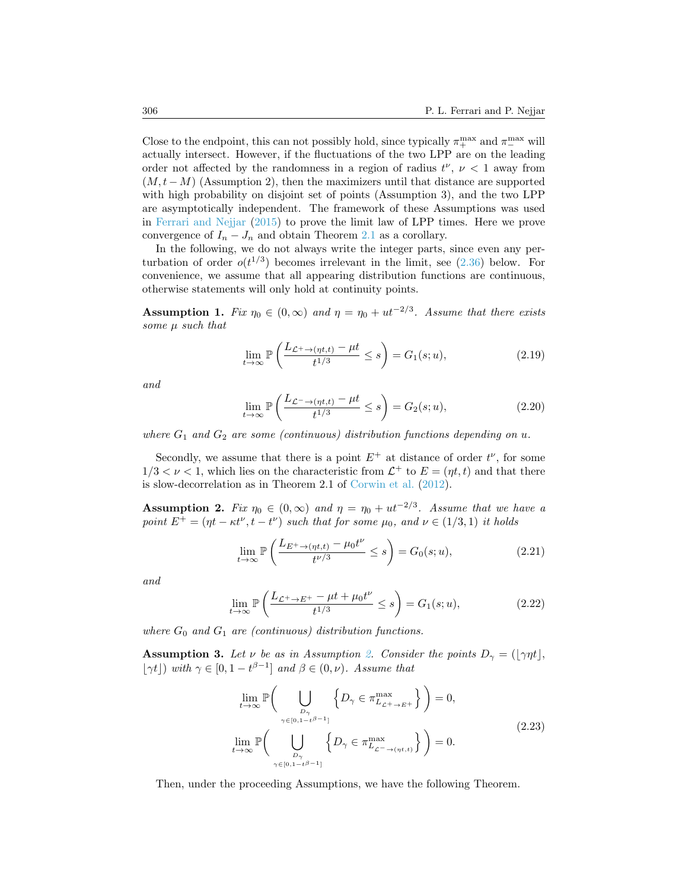Close to the endpoint, this can not possibly hold, since typically  $\pi_{+}^{\max}$  and  $\pi_{-}^{\max}$  will actually intersect. However, if the fluctuations of the two LPP are on the leading order not affected by the randomness in a region of radius  $t^{\nu}$ ,  $\nu < 1$  away from  $(M, t - M)$  (Assumption 2), then the maximizers until that distance are supported with high probability on disjoint set of points (Assumption 3), and the two LPP are asymptotically independent. The framework of these Assumptions was used in [Ferrari and Nejjar](#page-25-0) [\(2015\)](#page-25-0) to prove the limit law of LPP times. Here we prove convergence of  $I_n - J_n$  and obtain Theorem [2.1](#page-5-1) as a corollary.

In the following, we do not always write the integer parts, since even any perturbation of order  $o(t^{1/3})$  becomes irrelevant in the limit, see [\(2.36\)](#page-9-0) below. For convenience, we assume that all appearing distribution functions are continuous, otherwise statements will only hold at continuity points.

<span id="page-7-1"></span>**Assumption 1.** Fix  $\eta_0 \in (0, \infty)$  and  $\eta = \eta_0 + ut^{-2/3}$ . Assume that there exists some  $\mu$  such that

$$
\lim_{t \to \infty} \mathbb{P}\left(\frac{L_{\mathcal{L}^+ \to (\eta t, t)} - \mu t}{t^{1/3}} \le s\right) = G_1(s; u),\tag{2.19}
$$

and

$$
\lim_{t \to \infty} \mathbb{P}\left(\frac{L_{\mathcal{L}^- \to (\eta t, t)} - \mu t}{t^{1/3}} \le s\right) = G_2(s; u),\tag{2.20}
$$

where  $G_1$  and  $G_2$  are some (continuous) distribution functions depending on u.

Secondly, we assume that there is a point  $E^+$  at distance of order  $t^{\nu}$ , for some  $1/3 < \nu < 1$ , which lies on the characteristic from  $\mathcal{L}^+$  to  $E = (\eta t, t)$  and that there is slow-decorrelation as in Theorem 2.1 of [Corwin et al.](#page-24-11) [\(2012\)](#page-24-11).

<span id="page-7-0"></span>**Assumption 2.** Fix  $\eta_0 \in (0, \infty)$  and  $\eta = \eta_0 + ut^{-2/3}$ . Assume that we have a point  $E^+ = (\eta t - \kappa t^{\nu}, t - t^{\nu})$  such that for some  $\mu_0$ , and  $\nu \in (1/3, 1)$  it holds

<span id="page-7-3"></span>
$$
\lim_{t \to \infty} \mathbb{P}\left(\frac{L_{E^+ \to (\eta t, t)} - \mu_0 t^{\nu}}{t^{\nu/3}} \le s\right) = G_0(s; u),\tag{2.21}
$$

and

<span id="page-7-4"></span>
$$
\lim_{t \to \infty} \mathbb{P}\left(\frac{L_{\mathcal{L}^+ \to E^+} - \mu t + \mu_0 t^{\nu}}{t^{1/3}} \le s\right) = G_1(s; u),\tag{2.22}
$$

where  $G_0$  and  $G_1$  are (continuous) distribution functions.

<span id="page-7-2"></span>**Assumption 3.** Let  $\nu$  be as in Assumption [2.](#page-7-0) Consider the points  $D_{\gamma} = (\gamma \eta t),$  $|\gamma t|$ ) with  $\gamma \in [0, 1 - t^{\beta - 1}]$  and  $\beta \in (0, \nu)$ . Assume that

$$
\lim_{t \to \infty} \mathbb{P}\left(\bigcup_{\substack{D_{\gamma} \\ \gamma \in [0, 1 - t^{\beta - 1}]}} \left\{D_{\gamma} \in \pi_{L_{\mathcal{L}} + \mathcal{P}}^{\max} \right\}\right) = 0,
$$
\n
$$
\lim_{t \to \infty} \mathbb{P}\left(\bigcup_{\substack{D_{\gamma} \\ \gamma \in [0, 1 - t^{\beta - 1}]}} \left\{D_{\gamma} \in \pi_{L_{\mathcal{L}} - \mathcal{P}}^{\max} \right\}\right) = 0.
$$
\n
$$
(2.23)
$$

Then, under the proceeding Assumptions, we have the following Theorem.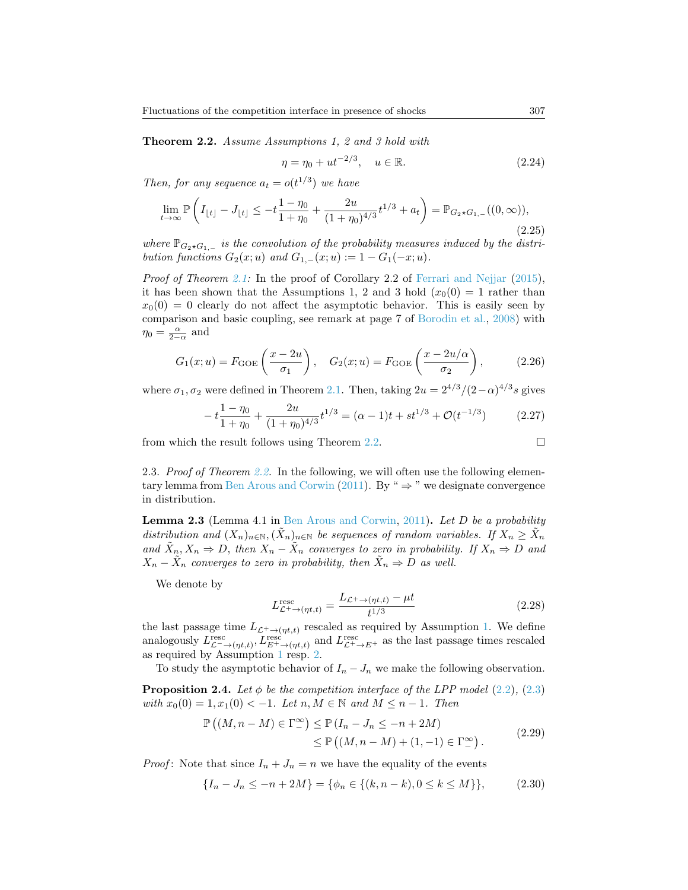<span id="page-8-0"></span>Theorem 2.2. Assume Assumptions 1, 2 and 3 hold with

$$
\eta = \eta_0 + ut^{-2/3}, \quad u \in \mathbb{R}.\tag{2.24}
$$

Then, for any sequence  $a_t = o(t^{1/3})$  we have

$$
\lim_{t \to \infty} \mathbb{P}\left(I_{\lfloor t \rfloor} - J_{\lfloor t \rfloor} \le -t \frac{1 - \eta_0}{1 + \eta_0} + \frac{2u}{(1 + \eta_0)^{4/3}} t^{1/3} + a_t\right) = \mathbb{P}_{G_2 \star G_{1,-}}((0, \infty)),\tag{2.25}
$$

where  $\mathbb{P}_{G_2 \star G_1,-}$  is the convolution of the probability measures induced by the distribution functions  $G_2(x; u)$  and  $G_{1,-}(x; u) := 1 - G_1(-x; u)$ .

Proof of Theorem [2.1:](#page-5-1) In the proof of Corollary 2.2 of [Ferrari and Nejjar](#page-25-0) [\(2015\)](#page-25-0), it has been shown that the Assumptions 1, 2 and 3 hold  $(x_0(0) = 1$  rather than  $x_0(0) = 0$  clearly do not affect the asymptotic behavior. This is easily seen by comparison and basic coupling, see remark at page 7 of [Borodin et al.,](#page-24-17) [2008\)](#page-24-17) with  $\eta_0 = \frac{\alpha}{2-\alpha}$  and

$$
G_1(x;u) = F_{\text{GOE}}\left(\frac{x-2u}{\sigma_1}\right), \quad G_2(x;u) = F_{\text{GOE}}\left(\frac{x-2u/\alpha}{\sigma_2}\right),\tag{2.26}
$$

where  $\sigma_1, \sigma_2$  were defined in Theorem [2.1.](#page-5-1) Then, taking  $2u = 2^{4/3}/(2-\alpha)^{4/3}s$  gives

$$
-t\frac{1-\eta_0}{1+\eta_0} + \frac{2u}{(1+\eta_0)^{4/3}}t^{1/3} = (\alpha - 1)t + st^{1/3} + \mathcal{O}(t^{-1/3})
$$
(2.27)

from which the result follows using Theorem [2.2.](#page-8-0)

2.3. Proof of Theorem [2.2.](#page-8-0) In the following, we will often use the following elemen-tary lemma from [Ben Arous and Corwin](#page-23-6) [\(2011\)](#page-23-6). By "  $\Rightarrow$  " we designate convergence in distribution.

<span id="page-8-2"></span>**Lemma 2.3** (Lemma 4.1 in [Ben Arous and Corwin,](#page-23-6) [2011\)](#page-23-6). Let D be a probability distribution and  $(X_n)_{n\in\mathbb{N}}, (\tilde{X}_n)_{n\in\mathbb{N}}$  be sequences of random variables. If  $X_n \geq \tilde{X}_n$ and  $\tilde{X}_n, X_n \Rightarrow D$ , then  $X_n - \tilde{X}_n$  converges to zero in probability. If  $X_n \Rightarrow D$  and  $X_n - \tilde{X}_n$  converges to zero in probability, then  $\tilde{X}_n \Rightarrow D$  as well.

We denote by

$$
L_{\mathcal{L}^+ \to (\eta t, t)}^{\text{resc}} = \frac{L_{\mathcal{L}^+ \to (\eta t, t)} - \mu t}{t^{1/3}} \tag{2.28}
$$

the last passage time  $L_{\mathcal{L}^+\to(\eta t,t)}$  rescaled as required by Assumption [1.](#page-7-1) We define analogously  $L_{\mathcal{L}^{-}\to(\eta t,t)}^{\text{resc}}$ ,  $L_{E^{+}\to(\eta t,t)}^{\text{resc}}$  and  $L_{\mathcal{L}^{+}\to E^{+}}^{\text{resc}}$  as the last passage times rescaled as required by Assumption [1](#page-7-1) resp. [2.](#page-7-0)

To study the asymptotic behavior of  $I_n - J_n$  we make the following observation.

<span id="page-8-1"></span>**Proposition 2.4.** Let  $\phi$  be the competition interface of the LPP model [\(2.2\)](#page-3-0), [\(2.3\)](#page-3-1) with  $x_0(0) = 1, x_1(0) < -1$ . Let  $n, M \in \mathbb{N}$  and  $M \leq n - 1$ . Then

$$
\mathbb{P}\left((M,n-M)\in\Gamma_{-}^{\infty}\right)\leq\mathbb{P}\left(I_{n}-J_{n}\leq-n+2M\right)
$$
  

$$
\leq\mathbb{P}\left((M,n-M)+(1,-1)\in\Gamma_{-}^{\infty}\right).
$$
 (2.29)

*Proof*: Note that since  $I_n + J_n = n$  we have the equality of the events

$$
\{I_n - J_n \le -n + 2M\} = \{\phi_n \in \{(k, n - k), 0 \le k \le M\}\},\tag{2.30}
$$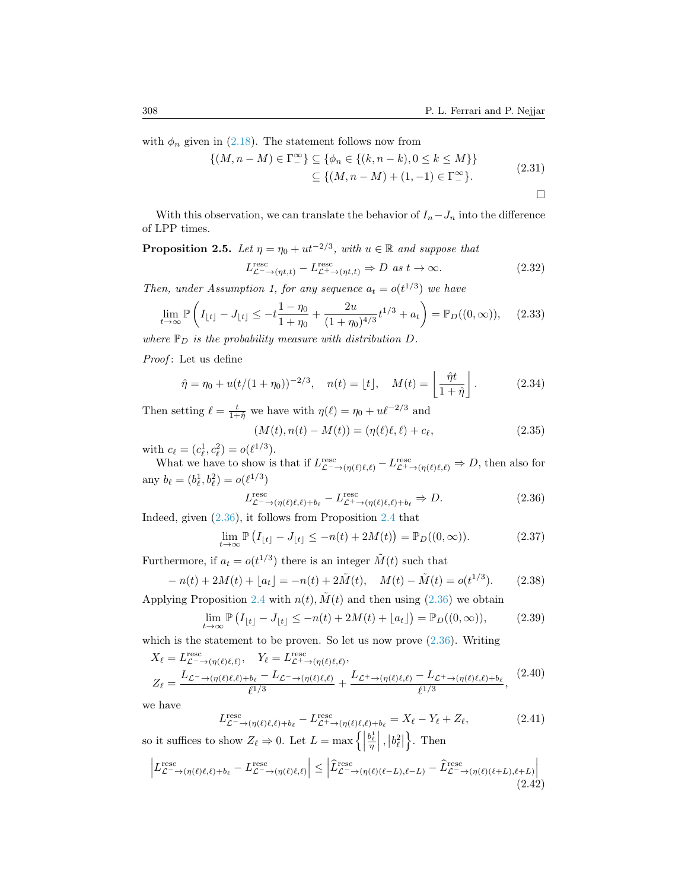with  $\phi_n$  given in [\(2.18\)](#page-6-3). The statement follows now from

$$
\{(M, n - M) \in \Gamma^{\infty}_{-}\}\subseteq \{\phi_n \in \{(k, n - k), 0 \le k \le M\}\}\
$$
  

$$
\subseteq \{(M, n - M) + (1, -1) \in \Gamma^{\infty}_{-}\}.
$$
 (2.31)

 $\Box$ 

With this observation, we can translate the behavior of  $I_n-J_n$  into the difference of LPP times.

<span id="page-9-2"></span>**Proposition 2.5.** Let  $\eta = \eta_0 + ut^{-2/3}$ , with  $u \in \mathbb{R}$  and suppose that

$$
L_{\mathcal{L}^{-}\to(\eta t,t)}^{\text{resc}} - L_{\mathcal{L}^{+}\to(\eta t,t)}^{\text{resc}} \Rightarrow D \text{ as } t \to \infty.
$$
 (2.32)

Then, under Assumption 1, for any sequence  $a_t = o(t^{1/3})$  we have

$$
\lim_{t \to \infty} \mathbb{P}\left(I_{\lfloor t \rfloor} - J_{\lfloor t \rfloor} \le -t \frac{1 - \eta_0}{1 + \eta_0} + \frac{2u}{(1 + \eta_0)^{4/3}} t^{1/3} + a_t\right) = \mathbb{P}_D((0, \infty)), \quad (2.33)
$$

where  $\mathbb{P}_D$  is the probability measure with distribution  $D$ .

Proof: Let us define

$$
\hat{\eta} = \eta_0 + u(t/(1 + \eta_0))^{-2/3}, \quad n(t) = \lfloor t \rfloor, \quad M(t) = \left\lfloor \frac{\hat{\eta}t}{1 + \hat{\eta}} \right\rfloor.
$$
 (2.34)

Then setting  $\ell = \frac{t}{1+\hat{\eta}}$  we have with  $\eta(\ell) = \eta_0 + u\ell^{-2/3}$  and

$$
(M(t), n(t) - M(t)) = (\eta(\ell)\ell, \ell) + c_{\ell}, \tag{2.35}
$$

with  $c_{\ell} = (c_{\ell}^1, c_{\ell}^2) = o(\ell^{1/3}).$ 

What we have to show is that if  $L_{\mathcal{L}^{-}\to(\eta(\ell)\ell,\ell)}^{\text{resc}} - L_{\mathcal{L}^{+}\to(\eta(\ell)\ell,\ell)}^{\text{resc}} \Rightarrow D$ , then also for any  $b_{\ell} = (b_{\ell}^1, b_{\ell}^2) = o(\ell^{1/3})$ 

<span id="page-9-0"></span>
$$
L_{\mathcal{L}^{-}\to(\eta(\ell)\ell,\ell)+b_{\ell}}^{\text{resc}} - L_{\mathcal{L}^{+}\to(\eta(\ell)\ell,\ell)+b_{\ell}}^{\text{resc}} \Rightarrow D. \tag{2.36}
$$

Indeed, given [\(2.36\)](#page-9-0), it follows from Proposition [2.4](#page-8-1) that

$$
\lim_{t \to \infty} \mathbb{P}\left(I_{\lfloor t \rfloor} - J_{\lfloor t \rfloor} \le -n(t) + 2M(t)\right) = \mathbb{P}_D((0, \infty)).\tag{2.37}
$$

Furthermore, if  $a_t = o(t^{1/3})$  there is an integer  $\tilde{M}(t)$  such that

$$
-n(t) + 2M(t) + [a_t] = -n(t) + 2\tilde{M}(t), \quad M(t) - \tilde{M}(t) = o(t^{1/3}).
$$
 (2.38)

Applying Proposition [2.4](#page-8-1) with  $n(t)$ ,  $\tilde{M}(t)$  and then using [\(2.36\)](#page-9-0) we obtain

$$
\lim_{t \to \infty} \mathbb{P}\left(I_{\lfloor t \rfloor} - J_{\lfloor t \rfloor} \le -n(t) + 2M(t) + \lfloor a_t \rfloor\right) = \mathbb{P}_D((0, \infty)),\tag{2.39}
$$

which is the statement to be proven. So let us now prove  $(2.36)$ . Writing

$$
X_{\ell} = L_{\mathcal{L}^{-}\to(\eta(\ell)\ell,\ell)}^{\text{resc}}, \quad Y_{\ell} = L_{\mathcal{L}^{+}\to(\eta(\ell)\ell,\ell)}^{\text{resc}},
$$
  

$$
Z_{\ell} = \frac{L_{\mathcal{L}^{-}\to(\eta(\ell)\ell,\ell)+b_{\ell}} - L_{\mathcal{L}^{-}\to(\eta(\ell)\ell,\ell)}}{\ell^{1/3}} + \frac{L_{\mathcal{L}^{+}\to(\eta(\ell)\ell,\ell)} - L_{\mathcal{L}^{+}\to(\eta(\ell)\ell,\ell)+b_{\ell}}}{\ell^{1/3}},
$$
(2.40)

we have

$$
L_{\mathcal{L}^{-}\to(\eta(\ell)\ell,\ell)+b_{\ell}}^{\text{resc}} - L_{\mathcal{L}^{+}\to(\eta(\ell)\ell,\ell)+b_{\ell}}^{\text{resc}} = X_{\ell} - Y_{\ell} + Z_{\ell},\tag{2.41}
$$

so it suffices to show  $Z_{\ell} \Rightarrow 0$ . Let  $L = \max \left\{ \left| \begin{array}{c} 0 & \text{if } 0 \leq \ell \leq n \\ 0 & \text{if } 0 \leq \ell \leq n \end{array} \right\} \right\}$  $\frac{b_\ell^1}{\eta}$ ,  $\left|b_\ell^2\right|$  $\}$ . Then

<span id="page-9-1"></span>
$$
\left| L_{\mathcal{L}^{-}\to(\eta(\ell)\ell,\ell)+b_{\ell}}^{\text{resc}} - L_{\mathcal{L}^{-}\to(\eta(\ell)\ell,\ell)}^{\text{resc}} \right| \leq \left| \hat{L}_{\mathcal{L}^{-}\to(\eta(\ell)(\ell-L),\ell-L)}^{\text{resc}} - \hat{L}_{\mathcal{L}^{-}\to(\eta(\ell)(\ell+L),\ell+L)}^{\text{resc}} \right|
$$
\n(2.42)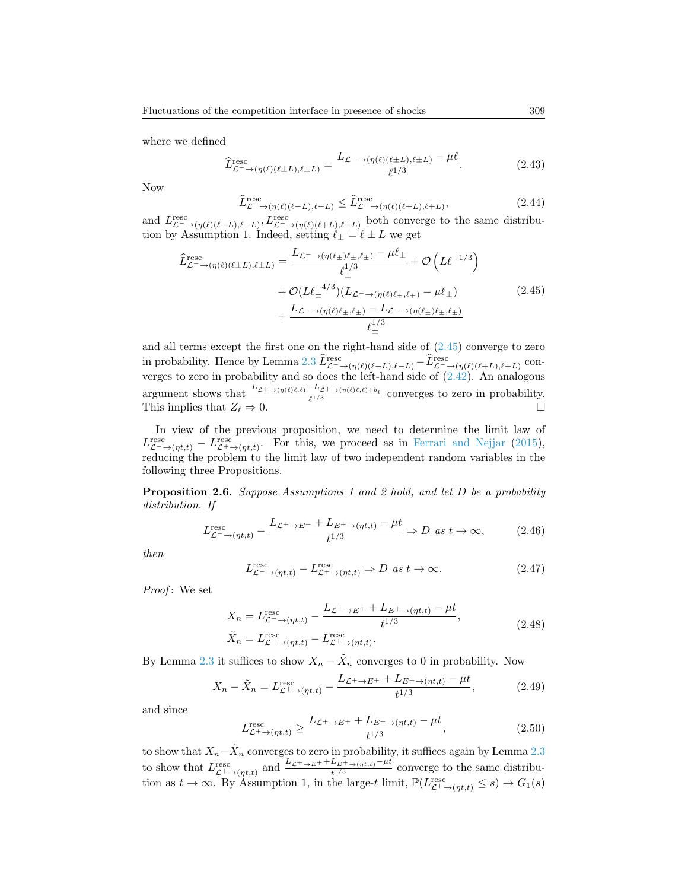where we defined

$$
\widehat{L}_{\mathcal{L}^{-}\to(\eta(\ell)(\ell\pm L),\ell\pm L)}^{\text{resc}} = \frac{L_{\mathcal{L}^{-}\to(\eta(\ell)(\ell\pm L),\ell\pm L)} - \mu\ell}{\ell^{1/3}}.
$$
\n(2.43)

Now

$$
\hat{L}_{\mathcal{L}^{-}\to(\eta(\ell)(\ell-L),\ell-L)}^{\text{resc}} \le \hat{L}_{\mathcal{L}^{-}\to(\eta(\ell)(\ell+L),\ell+L)}^{\text{resc}},\tag{2.44}
$$

and  $L_{\mathcal{L}^{-}\to(\eta(\ell)(\ell-L),\ell-L)}, L_{\mathcal{L}^{-}\to(\eta(\ell)(\ell+L),\ell+L)}^{\text{resc}}$  both converge to the same distribution by Assumption 1. Indeed, setting  $\ell_{\pm} = \ell \pm L$  we get

<span id="page-10-0"></span>
$$
\hat{L}_{\mathcal{L}^{-}\to(\eta(\ell)(\ell\pm L),\ell\pm L)}^{\text{resc}} = \frac{L_{\mathcal{L}^{-}\to(\eta(\ell_{\pm})\ell_{\pm},\ell_{\pm})} - \mu \ell_{\pm}}{\ell_{\pm}^{1/3}} + \mathcal{O}\left(L\ell^{-1/3}\right) \\
+ \mathcal{O}(L\ell_{\pm}^{-4/3})(L_{\mathcal{L}^{-}\to(\eta(\ell)\ell_{\pm},\ell_{\pm})} - \mu \ell_{\pm}) \\
+ \frac{L_{\mathcal{L}^{-}\to(\eta(\ell)\ell_{\pm},\ell_{\pm})} - L_{\mathcal{L}^{-}\to(\eta(\ell_{\pm})\ell_{\pm},\ell_{\pm})}}{\ell_{\pm}^{1/3}} \tag{2.45}
$$

and all terms except the first one on the right-hand side of  $(2.45)$  converge to zero in probability. Hence by Lemma [2.3](#page-8-2)  $\widetilde{L}_{\mathcal{L}\rightarrow(\eta(\ell)(\ell-L),\ell-L)}^{\text{resc}}-\widetilde{L}_{\mathcal{L}\rightarrow(\eta(\ell)(\ell+L),\ell+L)}^{\text{resc}}$  converges to zero in probability and so does the left-hand side of [\(2.42\)](#page-9-1). An analogous argument shows that  $\frac{L_{\mathcal{L}^+\to(\eta(\ell)\ell,\ell)}-L_{\mathcal{L}^+\to(\eta(\ell)\ell,\ell)+b_\ell}}{\ell^{1/3}}$  converges to zero in probability. This implies that  $Z_{\ell} \Rightarrow 0$ .

In view of the previous proposition, we need to determine the limit law of  $L_{\mathcal{L}^{-}\to(\eta t,t)}^{\text{resc}} - L_{\mathcal{L}^{+}\to(\eta t,t)}^{\text{resc}}$ . For this, we proceed as in [Ferrari and Nejjar](#page-25-0) [\(2015\)](#page-25-0), reducing the problem to the limit law of two independent random variables in the following three Propositions.

<span id="page-10-1"></span>Proposition 2.6. Suppose Assumptions 1 and 2 hold, and let D be a probability distribution. If

$$
L_{\mathcal{L}^{-}\to(\eta t,t)}^{\text{resc}} - \frac{L_{\mathcal{L}^{+}\to E^{+}} + L_{E^{+}\to(\eta t,t)} - \mu t}{t^{1/3}} \Rightarrow D \text{ as } t \to \infty,
$$
 (2.46)

then

$$
L_{\mathcal{L}^{-}\to(\eta t,t)}^{\text{resc}} - L_{\mathcal{L}^{+}\to(\eta t,t)}^{\text{resc}} \Rightarrow D \text{ as } t \to \infty.
$$
 (2.47)

Proof: We set

$$
X_n = L_{\mathcal{L}^- \to (\eta t, t)}^{\text{resc}} - \frac{L_{\mathcal{L}^+ \to E^+} + L_{E^+ \to (\eta t, t)} - \mu t}{t^{1/3}},
$$
  
\n
$$
\tilde{X}_n = L_{\mathcal{L}^- \to (\eta t, t)}^{\text{resc}} - L_{\mathcal{L}^+ \to (\eta t, t)}^{\text{resc}}.
$$
\n(2.48)

By Lemma [2.3](#page-8-2) it suffices to show  $X_n - \tilde{X}_n$  converges to 0 in probability. Now

$$
X_n - \tilde{X}_n = L_{\mathcal{L}^+ \to (\eta t, t)}^{\text{resc}} - \frac{L_{\mathcal{L}^+ \to E^+} + L_{E^+ \to (\eta t, t)} - \mu t}{t^{1/3}},\tag{2.49}
$$

and since

$$
L_{\mathcal{L}^+ \to (\eta t, t)}^{\text{resc}} \ge \frac{L_{\mathcal{L}^+ \to E^+} + L_{E^+ \to (\eta t, t)} - \mu t}{t^{1/3}},\tag{2.50}
$$

to show that  $X_n-\tilde{X}_n$  converges to zero in probability, it suffices again by Lemma [2.3](#page-8-2) to show that  $L_{\mathcal{L}^+\to(\eta t,t)}^{\text{resc}}$  and  $\frac{L_{\mathcal{L}^+\to E^+}+L_{E^+\to(\eta t,t)}-\mu t}{t^{1/3}}$  converge to the same distribution as  $t \to \infty$ . By Assumption 1, in the large-t limit,  $\mathbb{P}(L_{\mathcal{L}^+ \to (\eta t,t)}^{\text{resc}} \leq s) \to G_1(s)$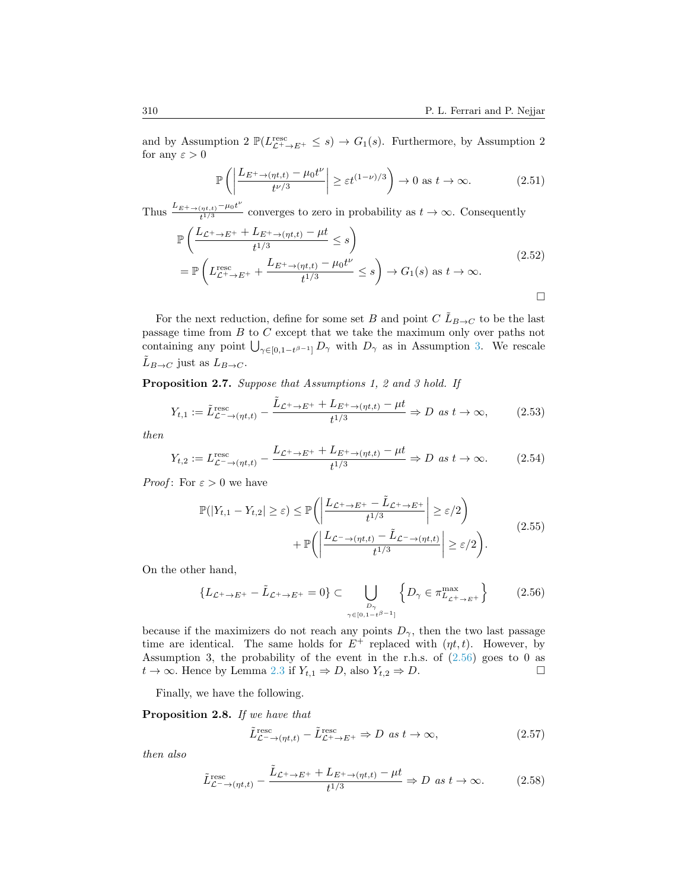and by Assumption 2  $\mathbb{P}(L_{\mathcal{L}^+\to E^+}^{\text{resc}} \leq s) \to G_1(s)$ . Furthermore, by Assumption 2 for any  $\varepsilon > 0$ 

<span id="page-11-1"></span>
$$
\mathbb{P}\left(\left|\frac{L_{E^+ \to (\eta t,t)} - \mu_0 t^{\nu}}{t^{\nu/3}}\right| \ge \varepsilon t^{(1-\nu)/3}\right) \to 0 \text{ as } t \to \infty. \tag{2.51}
$$

Thus  $\frac{L_{E^+ \to (\eta t,t)} - \mu_0 t^{\nu}}{t^{1/3}}$  $t_1^{(n_t,t)}$  converges to zero in probability as  $t \to \infty$ . Consequently

$$
\mathbb{P}\left(\frac{L_{\mathcal{L}^+ \to E^+} + L_{E^+ \to (\eta t, t)} - \mu t}{t^{1/3}} \le s\right)
$$
\n
$$
= \mathbb{P}\left(L_{\mathcal{L}^+ \to E^+}^{\text{resc}} + \frac{L_{E^+ \to (\eta t, t)} - \mu_0 t^{\nu}}{t^{1/3}} \le s\right) \to G_1(s) \text{ as } t \to \infty.
$$
\n
$$
\Box
$$

For the next reduction, define for some set B and point C  $\tilde{L}_{B\to C}$  to be the last passage time from  $B$  to  $C$  except that we take the maximum only over paths not containing any point  $\bigcup_{\gamma \in [0,1-t^{\beta-1}]} D_{\gamma}$  with  $D_{\gamma}$  as in Assumption [3.](#page-7-2) We rescale  $L_{B\to C}$  just as  $L_{B\to C}$ .

<span id="page-11-3"></span>Proposition 2.7. Suppose that Assumptions 1, 2 and 3 hold. If

$$
Y_{t,1} := \tilde{L}_{\mathcal{L}^{-}\to(\eta t,t)}^{\text{resc}} - \frac{\tilde{L}_{\mathcal{L}^{+}\to E^{+}} + L_{E^{+}\to(\eta t,t)} - \mu t}{t^{1/3}} \Rightarrow D \text{ as } t \to \infty,
$$
 (2.53)

then

$$
Y_{t,2} := L_{\mathcal{L}^{-}\to(\eta t,t)}^{\text{resc}} - \frac{L_{\mathcal{L}^{+}\to E^{+}} + L_{E^{+}\to(\eta t,t)} - \mu t}{t^{1/3}} \Rightarrow D \text{ as } t \to \infty.
$$
 (2.54)

*Proof:* For  $\varepsilon > 0$  we have

$$
\mathbb{P}(|Y_{t,1} - Y_{t,2}| \ge \varepsilon) \le \mathbb{P}\left(\left|\frac{L_{\mathcal{L}^+ \to E^+} - \tilde{L}_{\mathcal{L}^+ \to E^+}}{t^{1/3}}\right| \ge \varepsilon/2\right) + \mathbb{P}\left(\left|\frac{L_{\mathcal{L}^- \to (\eta t,t)} - \tilde{L}_{\mathcal{L}^- \to (\eta t,t)}}{t^{1/3}}\right| \ge \varepsilon/2\right).
$$
\n(2.55)

On the other hand,

<span id="page-11-0"></span>
$$
\left\{ L_{\mathcal{L}^+ \to E^+} - \tilde{L}_{\mathcal{L}^+ \to E^+} = 0 \right\} \subset \bigcup_{\substack{D_{\gamma} \\ \gamma \in [0, 1 - t^{\beta - 1}]} } \left\{ D_{\gamma} \in \pi_{L_{\mathcal{L}^+ \to E^+}}^{\max} \right\} \tag{2.56}
$$

because if the maximizers do not reach any points  $D_{\gamma}$ , then the two last passage time are identical. The same holds for  $E^+$  replaced with  $(\eta t, t)$ . However, by Assumption 3, the probability of the event in the r.h.s. of [\(2.56\)](#page-11-0) goes to 0 as  $t \to \infty$ . Hence by Lemma [2.3](#page-8-2) if  $Y_{t,1} \Rightarrow D$ , also  $Y_{t,2} \Rightarrow D$ .

Finally, we have the following.

<span id="page-11-4"></span>Proposition 2.8. If we have that

<span id="page-11-2"></span>
$$
\tilde{L}_{\mathcal{L}^{-}\to(\eta t,t)}^{\text{resc}} - \tilde{L}_{\mathcal{L}^{+}\to E^{+}}^{\text{resc}} \Rightarrow D \text{ as } t \to \infty,
$$
\n(2.57)

then also

$$
\tilde{L}_{\mathcal{L}^{-}\to(\eta t,t)}^{\text{resc}} - \frac{\tilde{L}_{\mathcal{L}^{+}\to E^{+}} + L_{E^{+}\to(\eta t,t)} - \mu t}{t^{1/3}} \Rightarrow D \text{ as } t \to \infty. \tag{2.58}
$$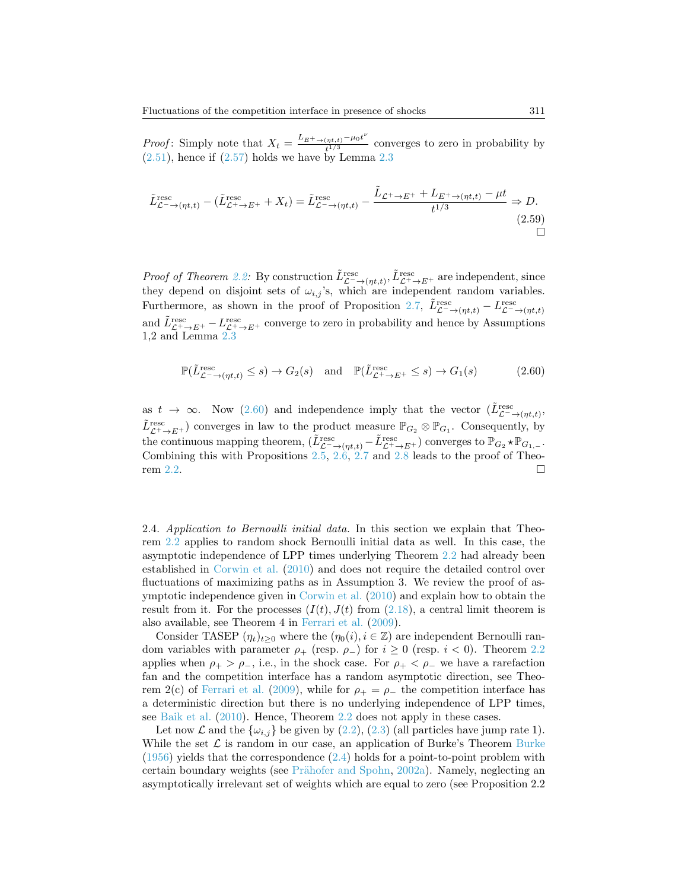*Proof*: Simply note that  $X_t = \frac{L_{E^+ \to (\eta t,t)} - \mu_0 t^{\nu}}{t^{1/3}}$  $\frac{t_{\eta t,t}}{t^{1/3}}$  converges to zero in probability by  $(2.51)$ , hence if  $(2.57)$  holds we have by Lemma [2.3](#page-8-2)

$$
\tilde{L}_{\mathcal{L}^{-}\to(\eta t,t)}^{\text{resc}} - (\tilde{L}_{\mathcal{L}^{+}\to E^{+}}^{\text{resc}} + X_{t}) = \tilde{L}_{\mathcal{L}^{-}\to(\eta t,t)}^{\text{resc}} - \frac{\tilde{L}_{\mathcal{L}^{+}\to E^{+}} + L_{E^{+}\to(\eta t,t)} - \mu t}{t^{1/3}} \Rightarrow D. \tag{2.59}
$$

*Proof of Theorem [2.2:](#page-8-0)* By construction  $\tilde{L}_{\mathcal{L}^{-}\to(\eta t,t)}^{\text{resc}}$ ,  $\tilde{L}_{\mathcal{L}^{+}\to E^{+}}^{\text{esc}}$  are independent, since they depend on disjoint sets of  $\omega_{i,j}$ 's, which are independent random variables. Furthermore, as shown in the proof of Proposition [2.7,](#page-11-3)  $\tilde{L}_{\mathcal{L}^{-}\to(\eta t,t)}^{\text{resc}} - L_{\mathcal{L}^{-}\to(\eta t,t)}^{\text{resc}}$ and  $\tilde{L}_{\mathcal{L}^+\to E^+}^{\text{resc}} - L_{\mathcal{L}^+\to E^+}^{\text{resc}}$  converge to zero in probability and hence by Assumptions 1,2 and Lemma [2.3](#page-8-2)

<span id="page-12-1"></span>
$$
\mathbb{P}(\tilde{L}_{\mathcal{L}^{-}\to(\eta t,t)}^{\text{resc}} \le s) \to G_2(s) \quad \text{and} \quad \mathbb{P}(\tilde{L}_{\mathcal{L}^{+}\to E^{+}}^{\text{resc}} \le s) \to G_1(s) \tag{2.60}
$$

as  $t \to \infty$ . Now [\(2.60\)](#page-12-1) and independence imply that the vector  $(\tilde{L}_{\mathcal{L}^{-}\to(\eta t,t)}^{\text{resc}})$  $\tilde{L}_{\mathcal{L}^+\to E^+}^{\text{resc}}$  ) converges in law to the product measure  $\mathbb{P}_{G_2}\otimes\mathbb{P}_{G_1}$ . Consequently, by the continuous mapping theorem,  $(\tilde{L}_{\mathcal{L}^{-}\to(\eta t,t)}^{\text{resc}} - \tilde{L}_{\mathcal{L}^{+}\to E^{+}}^{\text{resc}})$  converges to  $\mathbb{P}_{G_2} \star \mathbb{P}_{G_1,-}$ . Combining this with Propositions [2.5,](#page-9-2) [2.6,](#page-10-1) [2.7](#page-11-3) and [2.8](#page-11-4) leads to the proof of Theo-rem [2.2.](#page-8-0)

<span id="page-12-0"></span>2.4. Application to Bernoulli initial data. In this section we explain that Theorem [2.2](#page-8-0) applies to random shock Bernoulli initial data as well. In this case, the asymptotic independence of LPP times underlying Theorem [2.2](#page-8-0) had already been established in [Corwin et al.](#page-24-18) [\(2010\)](#page-24-18) and does not require the detailed control over fluctuations of maximizing paths as in Assumption 3. We review the proof of asymptotic independence given in [Corwin et al.](#page-24-18) [\(2010\)](#page-24-18) and explain how to obtain the result from it. For the processes  $(I(t), J(t)$  from  $(2.18)$ , a central limit theorem is also available, see Theorem 4 in [Ferrari et al.](#page-24-4) [\(2009\)](#page-24-4).

Consider TASEP  $(\eta_t)_{t>0}$  where the  $(\eta_0(i), i \in \mathbb{Z})$  are independent Bernoulli random variables with parameter  $\rho_+$  (resp.  $\rho_-$ ) for  $i \geq 0$  (resp.  $i < 0$ ). Theorem [2.2](#page-8-0) applies when  $\rho_+ > \rho_-,$  i.e., in the shock case. For  $\rho_+ < \rho_-$  we have a rarefaction fan and the competition interface has a random asymptotic direction, see Theo-rem 2(c) of [Ferrari et al.](#page-24-4) [\(2009\)](#page-24-4), while for  $\rho_+ = \rho_-$  the competition interface has a deterministic direction but there is no underlying independence of LPP times, see [Baik et al.](#page-23-3) [\(2010\)](#page-23-3). Hence, Theorem [2.2](#page-8-0) does not apply in these cases.

Let now  $\mathcal L$  and the  $\{\omega_{i,j}\}$  be given by  $(2.2), (2.3)$  $(2.2), (2.3)$  (all particles have jump rate 1). While the set  $\mathcal L$  is random in our case, an application of [Burke](#page-24-19)'s Theorem Burke [\(1956\)](#page-24-19) yields that the correspondence [\(2.4\)](#page-3-4) holds for a point-to-point problem with certain boundary weights (see Prähofer and Spohn, [2002a\)](#page-25-10). Namely, neglecting an asymptotically irrelevant set of weights which are equal to zero (see Proposition 2.2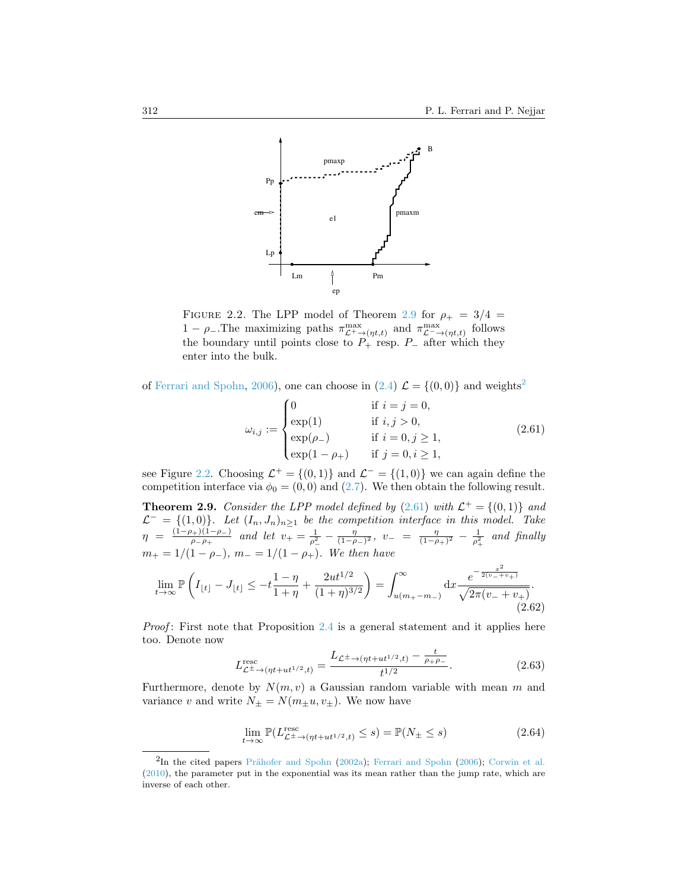

<span id="page-13-2"></span>FIGURE 2.2. The LPP model of Theorem [2.9](#page-13-0) for  $\rho_+ = 3/4$  = 1 −  $\rho$ . The maximizing paths  $\pi_{\mathcal{L}^+\to(\eta t,t)}^{\max}$  and  $\pi_{\mathcal{L}^-\to(\eta t,t)}^{\max}$  follows the boundary until points close to  $P_+$  resp.  $P_-$  after which they enter into the bulk.

of [Ferrari and Spohn,](#page-25-11) [2006\)](#page-25-11), one can choose in [\(2.4\)](#page-3-4)  $\mathcal{L} = \{(0,0)\}\$ and weights<sup>[2](#page-13-1)</sup>

<span id="page-13-3"></span>
$$
\omega_{i,j} := \begin{cases}\n0 & \text{if } i = j = 0, \\
\exp(1) & \text{if } i, j > 0, \\
\exp(\rho_{-}) & \text{if } i = 0, j \ge 1, \\
\exp(1 - \rho_{+}) & \text{if } j = 0, i \ge 1,\n\end{cases}
$$
\n(2.61)

see Figure [2.2.](#page-13-2) Choosing  $\mathcal{L}^+ = \{(0,1)\}\$  and  $\mathcal{L}^- = \{(1,0)\}\$  we can again define the competition interface via  $\phi_0 = (0, 0)$  and  $(2.7)$ . We then obtain the following result.

<span id="page-13-0"></span>**Theorem 2.9.** Consider the LPP model defined by  $(2.61)$  with  $\mathcal{L}^+ = \{(0,1)\}\$ and  $\mathcal{L}^- = \{(1,0)\}\.$  Let  $(I_n, J_n)_{n \geq 1}$  be the competition interface in this model. Take  $\eta = \frac{(1-\rho_+)(1-\rho_-)}{2\sigma}$  $\frac{\partial p_+(1-p_-)}{\partial p_- \rho_+}$  and let  $v_+ = \frac{1}{\rho_-^2} - \frac{\eta}{(1-\rho_-)^2}$ ,  $v_- = \frac{\eta}{(1-\rho_+)^2} - \frac{1}{\rho_+^2}$  and finally  $m_+ = 1/(1 - \rho_-), m_- = 1/(1 - \rho_+).$  We then have

<span id="page-13-5"></span>
$$
\lim_{t \to \infty} \mathbb{P}\left(I_{\lfloor t \rfloor} - J_{\lfloor t \rfloor} \le -t \frac{1 - \eta}{1 + \eta} + \frac{2ut^{1/2}}{(1 + \eta)^{3/2}}\right) = \int_{u(m_+ - m_-)}^{\infty} dx \frac{e^{-\frac{x^2}{2(v_- + v_+)}}}{\sqrt{2\pi(v_- + v_+)}}.
$$
\n(2.62)

Proof: First note that Proposition [2.4](#page-8-1) is a general statement and it applies here too. Denote now

<span id="page-13-6"></span>
$$
L_{\mathcal{L}^{\pm}\to(\eta t + ut^{1/2},t)}^{\text{resc}} = \frac{L_{\mathcal{L}^{\pm}\to(\eta t + ut^{1/2},t)} - \frac{t}{\rho_{+}\rho_{-}}}{t^{1/2}}.
$$
 (2.63)

Furthermore, denote by  $N(m, v)$  a Gaussian random variable with mean m and variance v and write  $N_{\pm} = N(m_{\pm}u, v_{\pm})$ . We now have

<span id="page-13-4"></span>
$$
\lim_{t \to \infty} \mathbb{P}(L_{\mathcal{L}^{\pm} \to (\eta t + ut^{1/2}, t)}^{\text{resc}} \le s) = \mathbb{P}(N_{\pm} \le s)
$$
\n(2.64)

<span id="page-13-1"></span> ${}^{2}$ In the cited papers Prähofer and Spohn [\(2002a\)](#page-25-10); [Ferrari and Spohn](#page-25-11) [\(2006\)](#page-25-11); [Corwin et al.](#page-24-18) [\(2010\)](#page-24-18), the parameter put in the exponential was its mean rather than the jump rate, which are inverse of each other.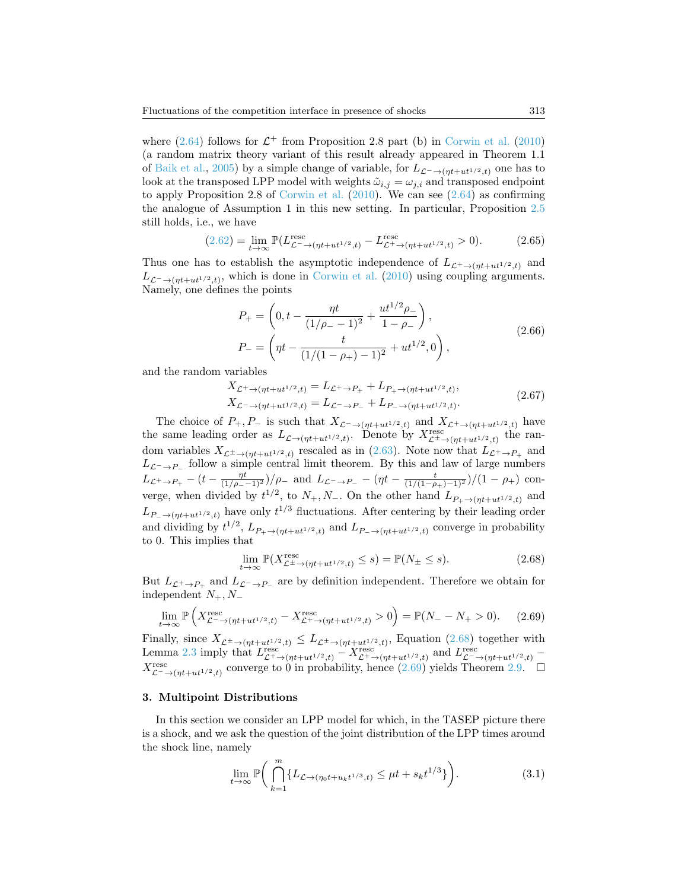where  $(2.64)$  follows for  $\mathcal{L}^+$  from Proposition 2.8 part (b) in [Corwin et al.](#page-24-18) [\(2010\)](#page-24-18) (a random matrix theory variant of this result already appeared in Theorem 1.1 of [Baik et al.,](#page-23-7) [2005\)](#page-23-7) by a simple change of variable, for  $L_{\mathcal{L}^-\to(\eta t+ut^{1/2},t)}$  one has to look at the transposed LPP model with weights  $\tilde{\omega}_{i,j} = \omega_{j,i}$  and transposed endpoint to apply Proposition 2.8 of [Corwin et al.](#page-24-18)  $(2010)$ . We can see  $(2.64)$  as confirming the analogue of Assumption 1 in this new setting. In particular, Proposition [2.5](#page-9-2) still holds, i.e., we have

$$
(2.62) = \lim_{t \to \infty} \mathbb{P}(L_{\mathcal{L}^- \to (\eta t + ut^{1/2}, t)}^{\text{resc}} - L_{\mathcal{L}^+ \to (\eta t + ut^{1/2}, t)}^{\text{resc}} > 0). \tag{2.65}
$$

Thus one has to establish the asymptotic independence of  $L_{\mathcal{L}^+ \to (nt+ut^{1/2},t)}$  and  $L_{\mathcal{L}^-\to(\eta t+ut^{1/2},t)}$ , which is done in [Corwin et al.](#page-24-18) [\(2010\)](#page-24-18) using coupling arguments. Namely, one defines the points

$$
P_{+} = \left(0, t - \frac{\eta t}{(1/\rho_{-} - 1)^{2}} + \frac{ut^{1/2}\rho_{-}}{1 - \rho_{-}}\right),
$$
  
\n
$$
P_{-} = \left(\eta t - \frac{t}{(1/(1 - \rho_{+}) - 1)^{2}} + ut^{1/2}, 0\right),
$$
\n(2.66)

and the random variables

$$
X_{\mathcal{L}^+\to(\eta t+ut^{1/2},t)} = L_{\mathcal{L}^+\to P_+} + L_{P_+\to(\eta t+ut^{1/2},t)},
$$
  
\n
$$
X_{\mathcal{L}^-\to(\eta t+ut^{1/2},t)} = L_{\mathcal{L}^-\to P_-} + L_{P_-\to(\eta t+ut^{1/2},t)}.
$$
\n(2.67)

The choice of  $P_+, P_-$  is such that  $X_{\mathcal{L}^- \to (\eta t + ut^{1/2}, t)}$  and  $X_{\mathcal{L}^+ \to (\eta t + ut^{1/2}, t)}$  have the same leading order as  $L_{\mathcal{L}\to(\eta t+ut^{1/2},t)}$ . Denote by  $X_{\mathcal{L}^{\pm}\to(\eta t+ut^{1/2},t)}^{resc}$  the random variables  $X_{\mathcal{L}^{\pm}\to(\eta t+ut^{1/2},t)}$  rescaled as in [\(2.63\)](#page-13-6). Note now that  $L_{\mathcal{L}^{\pm}\to P_{+}}$  and  $L_{\mathcal{L}^-\to P_-}$  follow a simple central limit theorem. By this and law of large numbers  $L_{\mathcal{L}^+\to P_+} - (t - \frac{\eta t}{(1/\rho_--1)^2})/\rho_-$  and  $L_{\mathcal{L}^-\to P_-} - (\eta t - \frac{t}{(1/(1-\rho_+)-1)^2})/(1-\rho_+)$  converge, when divided by  $t^{1/2}$ , to  $N_+, N_-$ . On the other hand  $L_{P_+\to (\eta t + ut^{1/2},t)}$  and  $L_{P-\to(\eta t+ut^{1/2},t)}$  have only  $t^{1/3}$  fluctuations. After centering by their leading order and dividing by  $t^{1/2}$ ,  $L_{P_+\to(\eta t+ut^{1/2},t)}$  and  $L_{P_-\to(\eta t+ut^{1/2},t)}$  converge in probability to 0. This implies that

<span id="page-14-1"></span>
$$
\lim_{t \to \infty} \mathbb{P}(X_{\mathcal{L}^{\pm} \to (\eta t + ut^{1/2}, t)}^{\text{resc}} \le s) = \mathbb{P}(N_{\pm} \le s). \tag{2.68}
$$

But  $L_{\mathcal{L}^+\to P_+}$  and  $L_{\mathcal{L}^-\to P_-}$  are by definition independent. Therefore we obtain for independent  $N_+, N_-$ 

<span id="page-14-2"></span>
$$
\lim_{t \to \infty} \mathbb{P}\left(X_{\mathcal{L}^{-} \to (\eta t + ut^{1/2}, t)}^{\text{resc}} - X_{\mathcal{L}^{+} \to (\eta t + ut^{1/2}, t)}^{\text{resc}} > 0\right) = \mathbb{P}(N_{-} - N_{+} > 0). \tag{2.69}
$$

Finally, since  $X_{\mathcal{L}^{\pm}\to(\eta t+ut^{1/2},t)} \leq L_{\mathcal{L}^{\pm}\to(\eta t+ut^{1/2},t)}$ , Equation [\(2.68\)](#page-14-1) together with Lemma [2.3](#page-8-2) imply that  $L_{\mathcal{L}^+ \to (\eta t + ut^{1/2}, t)}^{\text{resc}} - X_{\mathcal{L}^+ \to (\eta t + ut^{1/2}, t)}^{\text{resc}}$  and  $L_{\mathcal{L}^- \to (\eta t + ut^{1/2}, t)}^{\text{resc}}$  $X_{\mathcal{L}^{\neg} \to (\eta t + ut^{1/2}, t)}^{resc}$  converge to 0 in probability, hence  $(2.69)$  yields Theorem [2.9.](#page-13-0)

## <span id="page-14-0"></span>3. Multipoint Distributions

In this section we consider an LPP model for which, in the TASEP picture there is a shock, and we ask the question of the joint distribution of the LPP times around the shock line, namely

<span id="page-14-3"></span>
$$
\lim_{t \to \infty} \mathbb{P}\bigg(\bigcap_{k=1}^{m} \{L_{\mathcal{L} \to (\eta_0 t + u_k t^{1/3}, t)} \le \mu t + s_k t^{1/3}\}\bigg). \tag{3.1}
$$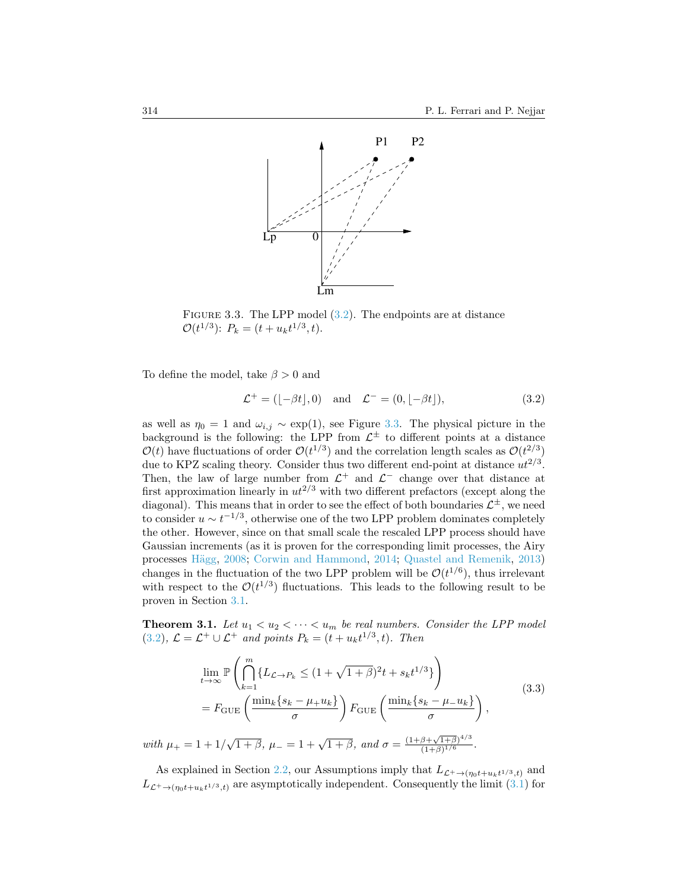

<span id="page-15-2"></span>FIGURE 3.3. The LPP model  $(3.2)$ . The endpoints are at distance  $\mathcal{O}(t^{1/3})$ :  $P_k = (t + u_k t^{1/3}, t)$ .

To define the model, take  $\beta > 0$  and

<span id="page-15-1"></span>
$$
\mathcal{L}^+ = ([-\beta t], 0) \quad \text{and} \quad \mathcal{L}^- = (0, [-\beta t]), \tag{3.2}
$$

as well as  $\eta_0 = 1$  and  $\omega_{i,j} \sim \exp(1)$ , see Figure [3.3.](#page-15-2) The physical picture in the background is the following: the LPP from  $\mathcal{L}^{\pm}$  to different points at a distance  $\mathcal{O}(t)$  have fluctuations of order  $\mathcal{O}(t^{1/3})$  and the correlation length scales as  $\mathcal{O}(t^{2/3})$ due to KPZ scaling theory. Consider thus two different end-point at distance  $ut^{2/3}$ . Then, the law of large number from  $\mathcal{L}^+$  and  $\mathcal{L}^-$  change over that distance at first approximation linearly in  $ut^{2/3}$  with two different prefactors (except along the diagonal). This means that in order to see the effect of both boundaries  $\mathcal{L}^{\pm}$ , we need to consider  $u \sim t^{-1/3}$ , otherwise one of the two LPP problem dominates completely the other. However, since on that small scale the rescaled LPP process should have Gaussian increments (as it is proven for the corresponding limit processes, the Airy processes Hägg, [2008;](#page-25-17) [Corwin and Hammond,](#page-24-20) [2014;](#page-24-20) [Quastel and Remenik,](#page-25-18) [2013\)](#page-25-18) changes in the fluctuation of the two LPP problem will be  $\mathcal{O}(t^{1/6})$ , thus irrelevant with respect to the  $\mathcal{O}(t^{1/3})$  fluctuations. This leads to the following result to be proven in Section [3.1.](#page-17-0)

<span id="page-15-0"></span>**Theorem 3.1.** Let  $u_1 < u_2 < \cdots < u_m$  be real numbers. Consider the LPP model [\(3.2\)](#page-15-1),  $\mathcal{L} = \mathcal{L}^+ \cup \mathcal{L}^+$  and points  $P_k = (t + u_k t^{1/3}, t)$ . Then

$$
\lim_{t \to \infty} \mathbb{P}\left(\bigcap_{k=1}^{m} \{L_{\mathcal{L} \to P_k} \leq (1 + \sqrt{1+\beta})^2 t + s_k t^{1/3}\}\right)
$$
\n
$$
= F_{\text{GUE}}\left(\frac{\min_k \{s_k - \mu_+ u_k\}}{\sigma}\right) F_{\text{GUE}}\left(\frac{\min_k \{s_k - \mu_- u_k\}}{\sigma}\right),
$$
\n(3.3)

with  $\mu_+ = 1 + 1/\sqrt{1+\beta}$ ,  $\mu_- = 1 + \sqrt{1+\beta}$ , and  $\sigma =$  $(1+\beta)^{1/6}$ .

As explained in Section [2.2,](#page-6-4) our Assumptions imply that  $L_{\mathcal{L}^+ \to (\eta_0 t + u_k t^{1/3}, t)}$  and  $L_{\mathcal{L}^+ \to (\eta_0 t + u_k t^{1/3}, t)}$  are asymptotically independent. Consequently the limit [\(3.1\)](#page-14-3) for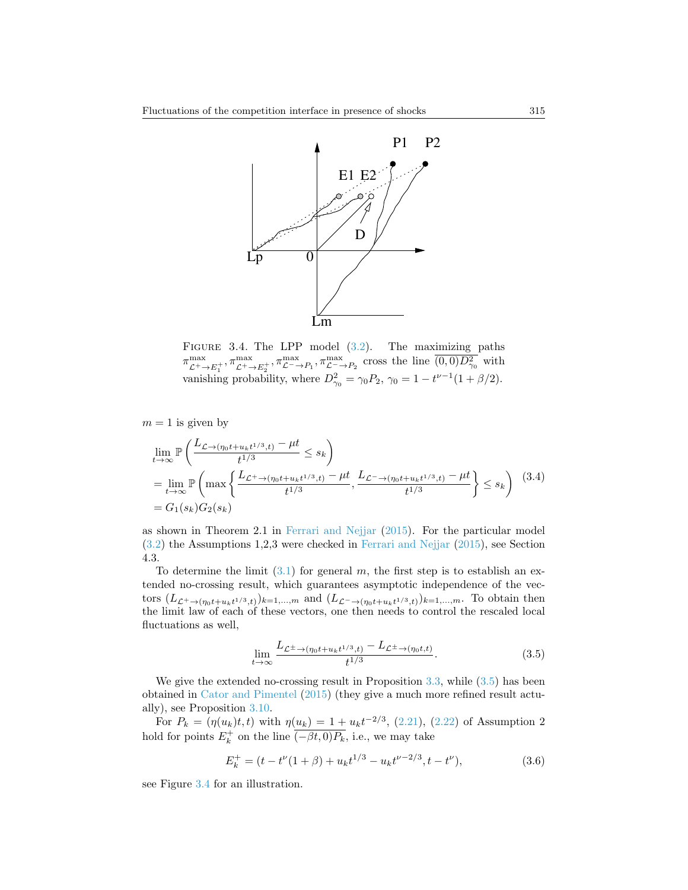

<span id="page-16-1"></span>FIGURE 3.4. The LPP model  $(3.2)$ . The maximizing paths  $\pi_{\mathcal{L}^+\to E_1^+}^{\max}, \pi_{\mathcal{L}^+\to E_2^+}^{\max}, \pi_{\mathcal{L}^-\to P_1}^{\max}, \pi_{\mathcal{L}^-\to P_2}^{\max}$  cross the line  $\overline{(0,0)D_{\gamma_0}^2}$  with vanishing probability, where  $D_{\gamma_0}^2 = \gamma_0 P_2$ ,  $\gamma_0 = 1 - t^{\nu - 1} (1 + \beta/2)$ .

 $m = 1$  is given by

$$
\lim_{t \to \infty} \mathbb{P}\left(\frac{L_{\mathcal{L} \to (\eta_0 t + u_k t^{1/3}, t)} - \mu t}{t^{1/3}} \le s_k\right)
$$
\n
$$
= \lim_{t \to \infty} \mathbb{P}\left(\max\left\{\frac{L_{\mathcal{L}^+ \to (\eta_0 t + u_k t^{1/3}, t)} - \mu t}{t^{1/3}}, \frac{L_{\mathcal{L}^- \to (\eta_0 t + u_k t^{1/3}, t)} - \mu t}{t^{1/3}}\right\} \le s_k\right) (3.4)
$$
\n
$$
= G_1(s_k) G_2(s_k)
$$

as shown in Theorem 2.1 in [Ferrari and Nejjar](#page-25-0) [\(2015\)](#page-25-0). For the particular model [\(3.2\)](#page-15-1) the Assumptions 1,2,3 were checked in [Ferrari and Nejjar](#page-25-0) [\(2015\)](#page-25-0), see Section 4.3.

To determine the limit  $(3.1)$  for general m, the first step is to establish an extended no-crossing result, which guarantees asymptotic independence of the vectors  $(L_{\mathcal{L}^+ \to (\eta_0 t + u_k t^{1/3}, t)})_{k=1,\dots,m}$  and  $(L_{\mathcal{L}^- \to (\eta_0 t + u_k t^{1/3}, t)})_{k=1,\dots,m}$ . To obtain then the limit law of each of these vectors, one then needs to control the rescaled local fluctuations as well,

<span id="page-16-0"></span>
$$
\lim_{t \to \infty} \frac{L_{\mathcal{L}^\pm \to (\eta_0 t + u_k t^{1/3}, t)} - L_{\mathcal{L}^\pm \to (\eta_0 t, t)}}{t^{1/3}}.
$$
\n(3.5)

We give the extended no-crossing result in Proposition [3.3,](#page-17-1) while  $(3.5)$  has been obtained in [Cator and Pimentel](#page-24-3) [\(2015\)](#page-24-3) (they give a much more refined result actually), see Proposition [3.10.](#page-17-2)

For  $P_k = (\eta(u_k)t, t)$  with  $\eta(u_k) = 1 + u_k t^{-2/3}$ , [\(2.21\)](#page-7-3), [\(2.22\)](#page-7-4) of Assumption 2 hold for points  $E_k^+$  on the line  $\overline{(-\beta t, 0)P_k}$ , i.e., we may take

<span id="page-16-2"></span>
$$
E_k^+ = (t - t^{\nu}(1+\beta) + u_k t^{1/3} - u_k t^{\nu - 2/3}, t - t^{\nu}),
$$
\n(3.6)

see Figure [3.4](#page-16-1) for an illustration.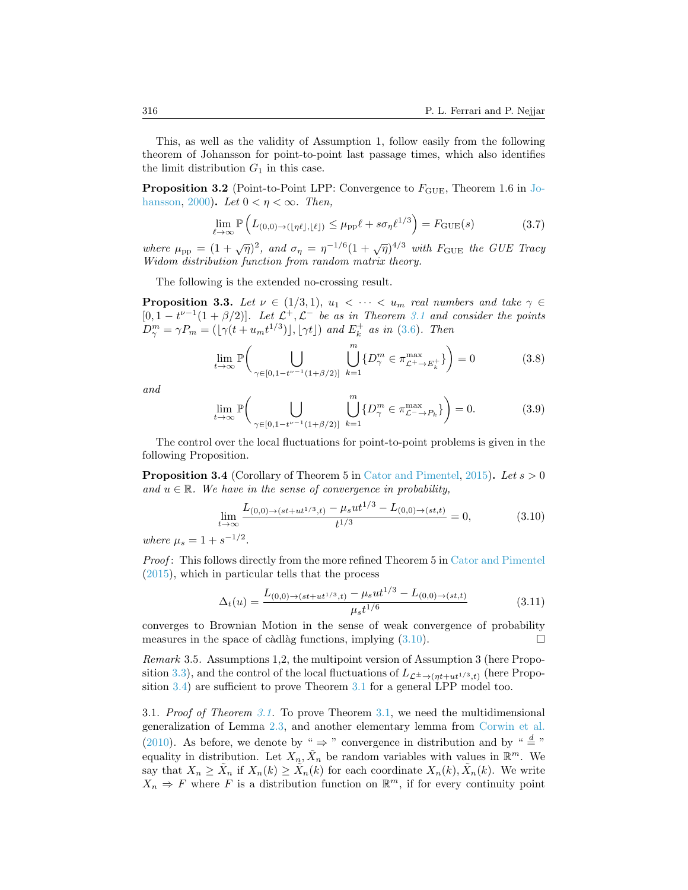This, as well as the validity of Assumption 1, follow easily from the following theorem of Johansson for point-to-point last passage times, which also identifies the limit distribution  $G_1$  in this case.

<span id="page-17-4"></span>**Proposition 3.2** (Point-to-Point LPP: Convergence to  $F_{GUE}$ , Theorem 1.6 in [Jo](#page-25-1)[hansson,](#page-25-1) [2000\)](#page-25-1). Let  $0 < \eta < \infty$ . Then,

$$
\lim_{\ell \to \infty} \mathbb{P}\left(L_{(0,0) \to (\lfloor \eta \ell \rfloor, \lfloor \ell \rfloor)} \le \mu_{\text{pp}} \ell + s \sigma_{\eta} \ell^{1/3}\right) = F_{\text{GUE}}(s) \tag{3.7}
$$

where  $\mu_{\rm pp} = (1 + \sqrt{\eta})^2$ , and  $\sigma_{\eta} = \eta^{-1/6} (1 + \sqrt{\eta})^{4/3}$  with  $F_{\rm GUE}$  the GUE Tracy Widom distribution function from random matrix theory.

The following is the extended no-crossing result.

<span id="page-17-1"></span>**Proposition 3.3.** Let  $\nu \in (1/3, 1), u_1 < \cdots < u_m$  real numbers and take  $\gamma \in$  $[0, 1 - t^{\nu-1}(1+\beta/2)].$  Let  $\mathcal{L}^+, \mathcal{L}^-$  be as in Theorem [3.1](#page-15-0) and consider the points  $D_{\gamma}^{m} = \gamma P_{m} = (\lfloor \gamma (t + u_{m}t^{1/3}) \rfloor, \lfloor \gamma t \rfloor)$  and  $E_{k}^{+}$  as in [\(3.6\)](#page-16-2). Then

<span id="page-17-5"></span>
$$
\lim_{t \to \infty} \mathbb{P}\bigg( \bigcup_{\gamma \in [0, 1 - t^{\nu - 1}(1 + \beta/2)]} \bigcup_{k=1}^{m} \{D_{\gamma}^{m} \in \pi_{\mathcal{L}^{+} \to E_{k}^{+}}^{\max} \} \bigg) = 0 \tag{3.8}
$$

and

<span id="page-17-6"></span>
$$
\lim_{t \to \infty} \mathbb{P}\bigg( \bigcup_{\gamma \in [0, 1 - t^{\nu - 1}(1 + \beta/2)]} \bigcup_{k=1}^{m} \{D_{\gamma}^{m} \in \pi_{\mathcal{L}^{-} \to P_{k}}^{\max} \} \bigg) = 0. \tag{3.9}
$$

The control over the local fluctuations for point-to-point problems is given in the following Proposition.

<span id="page-17-3"></span>**Proposition 3.4** (Corollary of Theorem 5 in [Cator and Pimentel,](#page-24-3) [2015\)](#page-24-3). Let  $s > 0$ and  $u \in \mathbb{R}$ . We have in the sense of convergence in probability,

<span id="page-17-2"></span>
$$
\lim_{t \to \infty} \frac{L_{(0,0) \to (st+ut^{1/3},t)} - \mu_s ut^{1/3} - L_{(0,0) \to (st,t)}}{t^{1/3}} = 0,
$$
\n(3.10)

where  $\mu_s = 1 + s^{-1/2}$ .

Proof: This follows directly from the more refined Theorem 5 in [Cator and Pimentel](#page-24-3) [\(2015\)](#page-24-3), which in particular tells that the process

$$
\Delta_t(u) = \frac{L_{(0,0)\to(st+ut^{1/3},t)} - \mu_s ut^{1/3} - L_{(0,0)\to(st,t)}}{\mu_s t^{1/6}}
$$
(3.11)

converges to Brownian Motion in the sense of weak convergence of probability measures in the space of càdlàg functions, implying  $(3.10)$ .

Remark 3.5. Assumptions 1,2, the multipoint version of Assumption 3 (here Propo-sition [3.3\)](#page-17-1), and the control of the local fluctuations of  $L_{\mathcal{L}^{\pm}\to(\eta t+ut^{1/3},t)}$  (here Propo-sition [3.4\)](#page-17-3) are sufficient to prove Theorem [3.1](#page-15-0) for a general LPP model too.

<span id="page-17-0"></span>3.1. Proof of Theorem [3.1.](#page-15-0) To prove Theorem [3.1,](#page-15-0) we need the multidimensional generalization of Lemma [2.3,](#page-8-2) and another elementary lemma from [Corwin et al.](#page-24-18) [\(2010\)](#page-24-18). As before, we denote by "  $\Rightarrow$  " convergence in distribution and by "  $\stackrel{d}{=}$  " equality in distribution. Let  $X_n, \tilde{X}_n$  be random variables with values in  $\mathbb{R}^m$ . We say that  $X_n \geq \tilde{X}_n$  if  $X_n(k) \geq \tilde{X}_n(k)$  for each coordinate  $X_n(k)$ ,  $\tilde{X}_n(k)$ . We write  $X_n \Rightarrow F$  where F is a distribution function on  $\mathbb{R}^m$ , if for every continuity point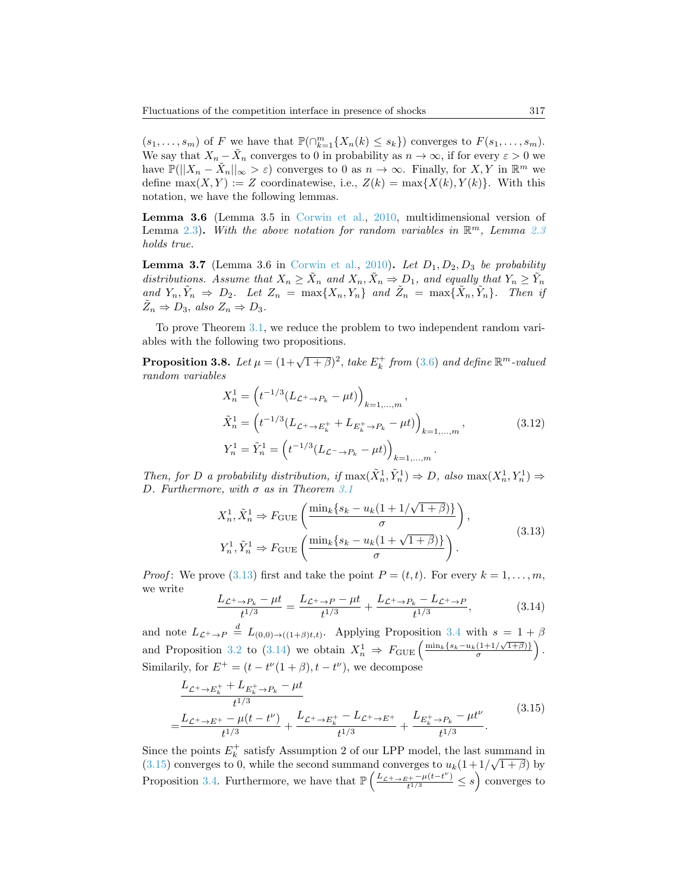$(s_1, \ldots, s_m)$  of F we have that  $\mathbb{P}(\bigcap_{k=1}^m \{X_n(k) \leq s_k\})$  converges to  $F(s_1, \ldots, s_m)$ . We say that  $X_n - \tilde{X}_n$  converges to 0 in probability as  $n \to \infty$ , if for every  $\varepsilon > 0$  we have  $\mathbb{P}(|X_n - \tilde{X}_n||_{\infty} > \varepsilon)$  converges to 0 as  $n \to \infty$ . Finally, for  $X, Y$  in  $\mathbb{R}^m$  we define  $\max(X, Y) := Z$  coordinatewise, i.e.,  $Z(k) = \max\{X(k), Y(k)\}\$ . With this notation, we have the following lemmas.

<span id="page-18-4"></span>Lemma 3.6 (Lemma 3.5 in [Corwin et al.,](#page-24-18) [2010,](#page-24-18) multidimensional version of Lemma [2.3\)](#page-8-2). With the above notation for random variables in  $\mathbb{R}^m$ , Lemma [2.3](#page-8-2) holds true.

<span id="page-18-3"></span>**Lemma 3.7** (Lemma 3.6 in [Corwin et al.,](#page-24-18) [2010\)](#page-24-18). Let  $D_1, D_2, D_3$  be probability distributions. Assume that  $X_n \geq \tilde{X}_n$  and  $X_n, \tilde{X}_n \Rightarrow D_1$ , and equally that  $Y_n \geq \tilde{Y}_n$ and  $Y_n, \tilde{Y}_n \Rightarrow D_2$ . Let  $Z_n = \max\{X_n, Y_n\}$  and  $\tilde{Z}_n = \max\{\tilde{X}_n, \tilde{Y}_n\}$ . Then if  $\tilde{Z}_n \Rightarrow D_3$ , also  $Z_n \Rightarrow D_3$ .

To prove Theorem [3.1,](#page-15-0) we reduce the problem to two independent random variables with the following two propositions.

<span id="page-18-5"></span>**Proposition 3.8.** Let  $\mu = (1 + \sqrt{1 + \beta})^2$ , take  $E_k^+$  from [\(3.6\)](#page-16-2) and define  $\mathbb{R}^m$ -valued random variables

$$
X_n^1 = \left( t^{-1/3} (L_{\mathcal{L}^+ \to P_k} - \mu t) \right)_{k=1,\dots,m},
$$
  
\n
$$
\tilde{X}_n^1 = \left( t^{-1/3} (L_{\mathcal{L}^+ \to E_k^+} + L_{E_k^+ \to P_k} - \mu t) \right)_{k=1,\dots,m},
$$
  
\n
$$
Y_n^1 = \tilde{Y}_n^1 = \left( t^{-1/3} (L_{\mathcal{L}^- \to P_k} - \mu t) \right)_{k=1,\dots,m}.
$$
\n(3.12)

Then, for D a probability distribution, if  $\max(\tilde{X}_n^1, \tilde{Y}_n^1) \Rightarrow D$ , also  $\max(X_n^1, Y_n^1) \Rightarrow$ D. Furthermore, with  $\sigma$  as in Theorem [3.1](#page-15-0)

<span id="page-18-0"></span>
$$
X_n^1, \tilde{X}_n^1 \Rightarrow F_{\text{GUE}}\left(\frac{\min_k \{s_k - u_k(1 + 1/\sqrt{1 + \beta})\}}{\sigma}\right),
$$
  
\n
$$
Y_n^1, \tilde{Y}_n^1 \Rightarrow F_{\text{GUE}}\left(\frac{\min_k \{s_k - u_k(1 + \sqrt{1 + \beta})\}}{\sigma}\right).
$$
\n(3.13)

*Proof*: We prove [\(3.13\)](#page-18-0) first and take the point  $P = (t, t)$ . For every  $k = 1, \ldots, m$ , we write

<span id="page-18-1"></span>
$$
\frac{L_{\mathcal{L}^+ \to P_k} - \mu t}{t^{1/3}} = \frac{L_{\mathcal{L}^+ \to P} - \mu t}{t^{1/3}} + \frac{L_{\mathcal{L}^+ \to P_k} - L_{\mathcal{L}^+ \to P}}{t^{1/3}},\tag{3.14}
$$

and note  $L_{\mathcal{L}^+ \to P} \stackrel{d}{=} L_{(0,0)\to((1+\beta)t,t)}$ . Applying Proposition [3.4](#page-17-3) with  $s = 1 + \beta$ and Proposition [3.2](#page-17-4) to [\(3.14\)](#page-18-1) we obtain  $X_n^1 \Rightarrow F_{\text{GUE}}\left(\frac{\min_k \{s_k - u_k(1+1/\sqrt{1+\beta})\}}{\sigma}\right)$  $\frac{(1+1/\sqrt{1+\beta})}{\sigma}$ ). Similarily, for  $E^+ = (t - t^{\nu}(1 + \beta), t - t^{\nu})$ , we decompose

<span id="page-18-2"></span>
$$
\frac{L_{\mathcal{L}^+ \to E_k^+} + L_{E_k^+ \to P_k} - \mu t}{t^{1/3}} + \frac{L_{\mathcal{L}^+ \to E_k^+} - L_{\mathcal{L}^+ \to E_k^+}}{t^{1/3}} + \frac{L_{\mathcal{L}^+ \to E_k^+} - L_{\mathcal{L}^+ \to E_k^+}}{t^{1/3}} + \frac{L_{E_k^+ \to P_k} - \mu t^{\nu}}{t^{1/3}}.
$$
\n(3.15)

Since the points  $E_k^+$  satisfy Assumption 2 of our LPP model, the last summand in  $(3.15)$  converges to 0, while the second summand converges to  $u_k(1+1/\sqrt{1+\beta})$  by Proposition [3.4.](#page-17-3) Furthermore, we have that  $\mathbb{P}\left(\frac{L_{\mathcal{L}^+\to E^+}-\mu(t-t^{\nu})}{t^{1/3}}\right)$  $\frac{t^{(t+1)/3}+t^{(t+1)/3}}{t^{1/3}} \leq s$  converges to

=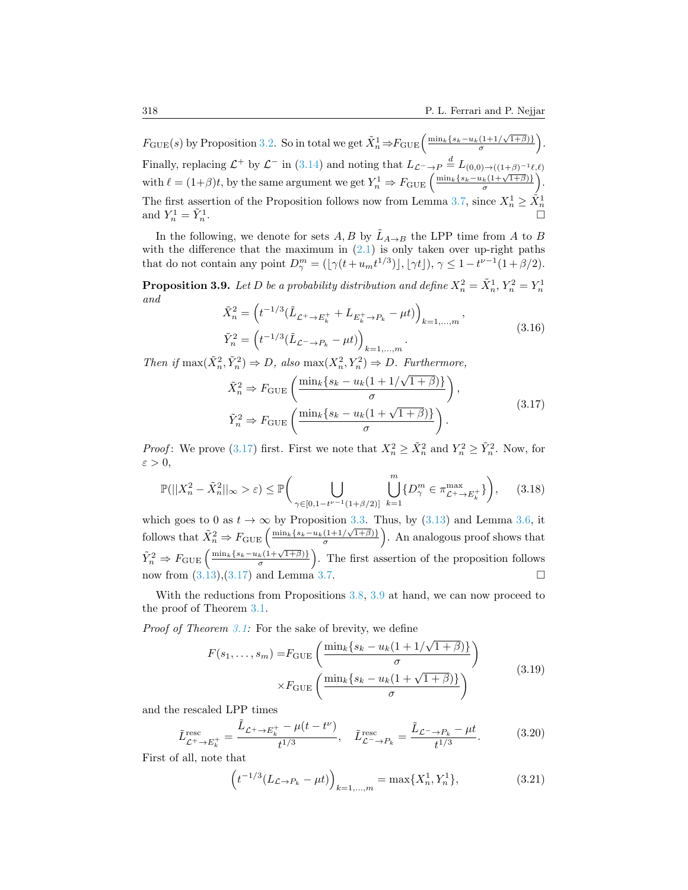$F_{\text{GUE}}(s)$  by Proposition [3.2.](#page-17-4) So in total we get  $\tilde{X}_n^1 \Rightarrow F_{\text{GUE}}\left(\frac{\min_k \{s_k - u_k(1+1/\sqrt{1+\beta})\}}{\sigma}\right)$  $\frac{(1+1/\sqrt{1+\beta})}{\sigma}$ ). Finally, replacing  $\mathcal{L}^+$  by  $\mathcal{L}^-$  in [\(3.14\)](#page-18-1) and noting that  $L_{\mathcal{L}^- \to P} \stackrel{d}{=} L_{(0,0) \to ((1+\beta)^{-1}\ell,\ell)}$ with  $\ell = (1+\beta)t$ , by the same argument we get  $Y_n^1 \Rightarrow F_{\text{GUE}}\left(\frac{\min_k \{s_k - u_k(1+\sqrt{1+\beta})\}}{\sigma}\right)$  $\frac{k(1+\sqrt{1+\beta})\}}{\sigma}$ . The first assertion of the Proposition follows now from Lemma [3.7,](#page-18-3) since  $X_n^1 \geq \tilde{X}_n^1$  and  $Y_n^1 = \tilde{Y}_n^1$ . and  $Y_n^1 = \tilde{Y}_n^1$ 

In the following, we denote for sets  $A, B$  by  $\tilde{L}_{A\rightarrow B}$  the LPP time from A to B with the difference that the maximum in  $(2.1)$  is only taken over up-right paths that do not contain any point  $D_{\gamma}^{m} = (\lfloor \gamma(t+u_{m}t^{1/3}) \rfloor, \lfloor \gamma t \rfloor), \gamma \leq 1-t^{\nu-1}(1+\beta/2).$ 

<span id="page-19-1"></span>**Proposition 3.9.** Let D be a probability distribution and define  $X_n^2 = \tilde{X}_n^1, Y_n^2 = Y_n^1$ and

$$
\tilde{X}_n^2 = \left( t^{-1/3} (\tilde{L}_{\mathcal{L}^+ \to E_k^+} + L_{E_k^+ \to P_k} - \mu t) \right)_{k=1,\dots,m},
$$
\n
$$
\tilde{Y}_n^2 = \left( t^{-1/3} (\tilde{L}_{\mathcal{L}^- \to P_k} - \mu t) \right)_{k=1,\dots,m}.
$$
\n(3.16)

Then if  $\max(\tilde{X}_n^2, \tilde{Y}_n^2) \Rightarrow D$ , also  $\max(X_n^2, Y_n^2) \Rightarrow D$ . Furthermore, √

<span id="page-19-0"></span>
$$
\tilde{X}_n^2 \Rightarrow F_{\text{GUE}}\left(\frac{\min_k \{s_k - u_k(1 + 1/\sqrt{1 + \beta})\}}{\sigma}\right),
$$
\n
$$
\tilde{Y}_n^2 \Rightarrow F_{\text{GUE}}\left(\frac{\min_k \{s_k - u_k(1 + \sqrt{1 + \beta})\}}{\sigma}\right).
$$
\n(3.17)

*Proof*: We prove [\(3.17\)](#page-19-0) first. First we note that  $X_n^2 \ge \tilde{X}_n^2$  and  $Y_n^2 \ge \tilde{Y}_n^2$ . Now, for  $\varepsilon > 0$ ,

$$
\mathbb{P}(|X_n^2 - \tilde{X}_n^2||_{\infty} > \varepsilon) \le \mathbb{P}\bigg(\bigcup_{\gamma \in [0, 1 - t^{\nu - 1}(1 + \beta/2)]} \bigcup_{k=1}^m \{D_\gamma^m \in \pi_{\mathcal{L}^+ \to E_k^+}^{\max}\}\bigg),\qquad(3.18)
$$

which goes to 0 as  $t \to \infty$  by Proposition [3.3.](#page-17-1) Thus, by [\(3.13\)](#page-18-0) and Lemma [3.6,](#page-18-4) it follows that  $\tilde{X}_n^2 \Rightarrow F_{\text{GUE}}\left(\frac{\min_k \{s_k - u_k(11/\sqrt{1+\beta})\}}{\sigma}\right)$  $\left(\frac{(1+1/\sqrt{1+\beta})}{\sigma}\right)$ . An analogous proof shows that  $\tilde{Y}_n^2 \Rightarrow F_{\text{GUE}}\left(\frac{\min_k\{s_k-u_k(1+\sqrt{1+\beta})\}}{\sigma}\right)$  $\left( \frac{k(1+\sqrt{1+\beta})}{\sigma} \right)$ . The first assertion of the proposition follows now from  $(3.13),(3.17)$  $(3.13),(3.17)$  and Lemma [3.7.](#page-18-3)

With the reductions from Propositions [3.8,](#page-18-5) [3.9](#page-19-1) at hand, we can now proceed to the proof of Theorem [3.1.](#page-15-0)

Proof of Theorem [3.1:](#page-15-0) For the sake of brevity, we define

$$
F(s_1, \ldots, s_m) = F_{\text{GUE}} \left( \frac{\min_k \{ s_k - u_k (1 + 1/\sqrt{1 + \beta}) \}}{\sigma} \right) \times F_{\text{GUE}} \left( \frac{\min_k \{ s_k - u_k (1 + \sqrt{1 + \beta}) \}}{\sigma} \right)
$$
(3.19)

and the rescaled LPP times

$$
\tilde{L}_{\mathcal{L}^+ \to E_k^+}^{\text{res}} = \frac{\tilde{L}_{\mathcal{L}^+ \to E_k^+} - \mu(t - t^{\nu})}{t^{1/3}}, \quad \tilde{L}_{\mathcal{L}^- \to P_k}^{\text{resc}} = \frac{\tilde{L}_{\mathcal{L}^- \to P_k} - \mu t}{t^{1/3}}.
$$
\n(3.20)

First of all, note that

$$
\left(t^{-1/3}(L_{\mathcal{L}\to P_k} - \mu t)\right)_{k=1,\dots,m} = \max\{X_n^1, Y_n^1\},\tag{3.21}
$$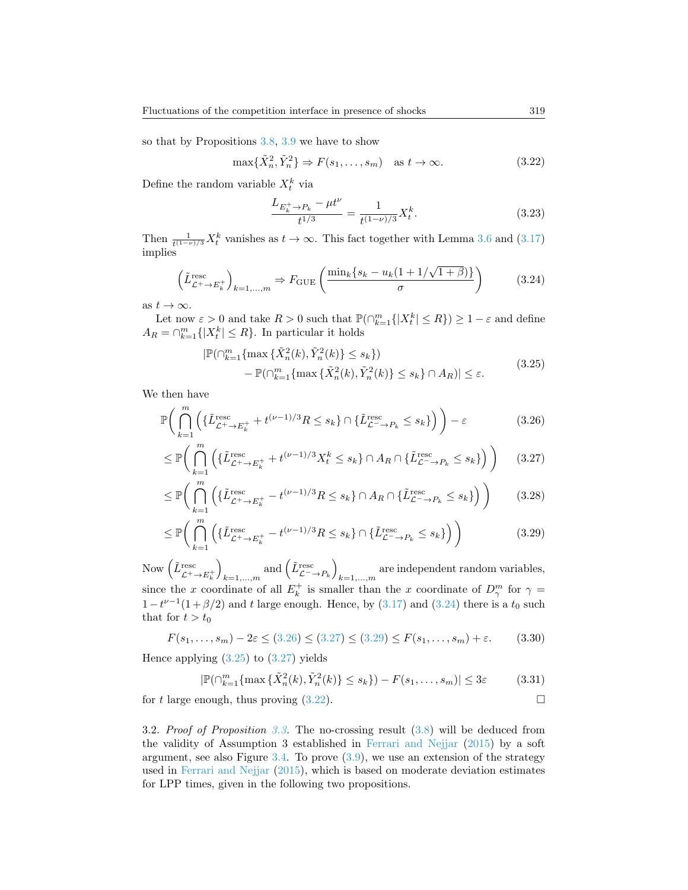so that by Propositions [3.8,](#page-18-5) [3.9](#page-19-1) we have to show

<span id="page-20-5"></span>
$$
\max\{\tilde{X}_n^2, \tilde{Y}_n^2\} \Rightarrow F(s_1, \dots, s_m) \quad \text{as } t \to \infty. \tag{3.22}
$$

Define the random variable  $X_t^k$  via

$$
\frac{L_{E_k^+ \to P_k} - \mu t^{\nu}}{t^{1/3}} = \frac{1}{t^{(1-\nu)/3}} X_t^k.
$$
\n(3.23)

Then  $\frac{1}{t^{(1-\nu)/3}}X_t^k$  vanishes as  $t \to \infty$ . This fact together with Lemma [3.6](#page-18-4) and [\(3.17\)](#page-19-0) implies

<span id="page-20-0"></span>
$$
\left(\tilde{L}_{\mathcal{L}^+\to E_k^+}^{\text{resc}}\right)_{k=1,\dots,m} \Rightarrow F_{\text{GUE}}\left(\frac{\min_k \{s_k - u_k(1 + 1/\sqrt{1+\beta})\}}{\sigma}\right) \tag{3.24}
$$

as  $t \to \infty$ .

Let now  $\varepsilon > 0$  and take  $R > 0$  such that  $\mathbb{P}(\bigcap_{k=1}^{m} \{|X_t^k| \leq R\}) \geq 1 - \varepsilon$  and define  $A_R = \bigcap_{k=1}^m \{|X_t^k| \leq R\}$ . In particular it holds

<span id="page-20-4"></span><span id="page-20-2"></span><span id="page-20-1"></span>
$$
|\mathbb{P}(\bigcap_{k=1}^{m} \{\max \{\tilde{X}_{n}^{2}(k), \tilde{Y}_{n}^{2}(k)\} \le s_{k}\})
$$
  

$$
- \mathbb{P}(\bigcap_{k=1}^{m} \{\max \{\tilde{X}_{n}^{2}(k), \tilde{Y}_{n}^{2}(k)\} \le s_{k}\} \cap A_{R})| \le \varepsilon.
$$
 (3.25)

We then have

$$
\mathbb{P}\bigg(\bigcap_{k=1}^{m} \left(\{\tilde{L}_{\mathcal{L}^{+}\to E_{k}^{+}}^{resc} + t^{(\nu-1)/3}R \leq s_{k}\}\cap\{\tilde{L}_{\mathcal{L}^{-}\to P_{k}}^{resc} \leq s_{k}\}\right)\bigg) - \varepsilon
$$
\n(3.26)

$$
\leq \mathbb{P}\bigg(\bigcap_{k=1}^{m} \left(\{\tilde{L}_{\mathcal{L}^+ \to E_k^+}^{\text{resc}} + t^{(\nu-1)/3} X_t^k \leq s_k\} \cap A_R \cap \{\tilde{L}_{\mathcal{L}^- \to P_k}^{\text{resc}} \leq s_k\}\right)\bigg) \tag{3.27}
$$

$$
\leq \mathbb{P}\bigg(\bigcap_{k=1}^{m} \left(\{\tilde{L}_{\mathcal{L}^+ \to E_k^+}^{\text{resc}} - t^{(\nu-1)/3} R \leq s_k\} \cap A_R \cap \{\tilde{L}_{\mathcal{L}^- \to P_k}^{\text{resc}} \leq s_k\}\right)\bigg) \tag{3.28}
$$

$$
\leq \mathbb{P}\bigg(\bigcap_{k=1}^{m} \left(\{\tilde{L}_{\mathcal{L}^+\to E_k^+}^{\text{resc}} - t^{(\nu-1)/3}R \leq s_k\} \cap \{\tilde{L}_{\mathcal{L}^-\to P_k}^{\text{resc}} \leq s_k\}\right)\bigg) \tag{3.29}
$$

Now  $\left(\tilde{L}_{\mathcal{L}^+\to E_k^+}^{\text{resc}}\right)$  $\setminus$  $\lim_{k=1,\ldots,m}$  and  $(\tilde{L}_{\mathcal{L}^{-}\to P_{k}}^{\text{resc}})$ are independent random variables,  $k=1,\ldots,m$ since the x coordinate of all  $E_k^+$  is smaller than the x coordinate of  $D_{\gamma}^m$  for  $\gamma =$  $1-t^{\nu-1}(1+\beta/2)$  and t large enough. Hence, by  $(3.17)$  and  $(3.24)$  there is a t<sub>0</sub> such that for  $t > t_0$ 

$$
F(s_1, \dots, s_m) - 2\varepsilon \le (3.26) \le (3.27) \le (3.29) \le F(s_1, \dots, s_m) + \varepsilon. \tag{3.30}
$$

Hence applying  $(3.25)$  to  $(3.27)$  yields

<span id="page-20-3"></span>
$$
|\mathbb{P}(\bigcap_{k=1}^{m} \{ \max \{ \tilde{X}_n^2(k), \tilde{Y}_n^2(k) \} \le s_k \} ) - F(s_1, \dots, s_m)| \le 3\varepsilon
$$
 (3.31)

for t large enough, thus proving  $(3.22)$ .

3.2. Proof of Proposition [3.3.](#page-17-1) The no-crossing result [\(3.8\)](#page-17-5) will be deduced from the validity of Assumption 3 established in [Ferrari and Nejjar](#page-25-0) [\(2015\)](#page-25-0) by a soft argument, see also Figure [3.4.](#page-16-1) To prove [\(3.9\)](#page-17-6), we use an extension of the strategy used in [Ferrari and Nejjar](#page-25-0) [\(2015\)](#page-25-0), which is based on moderate deviation estimates for LPP times, given in the following two propositions.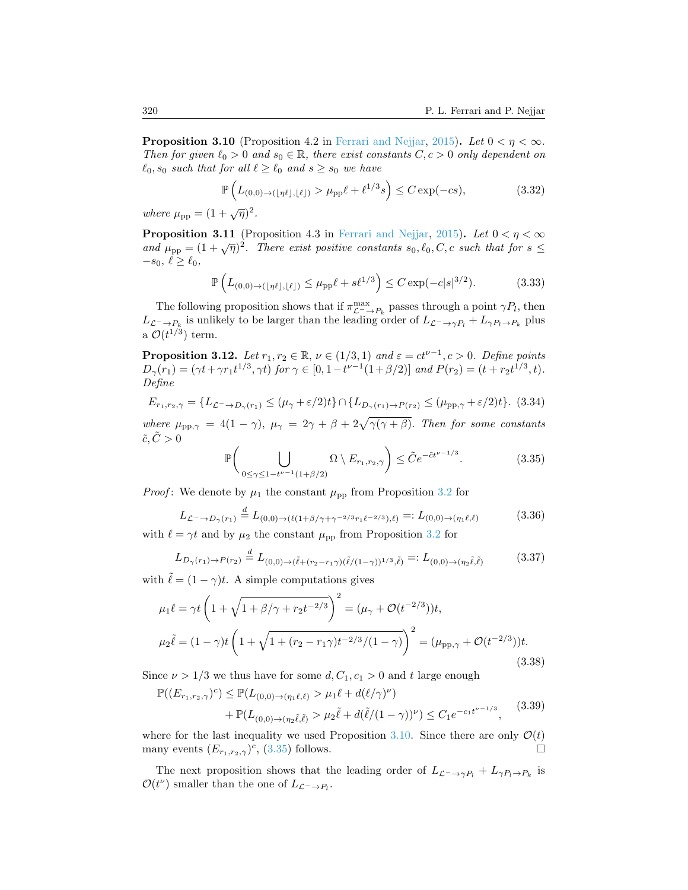<span id="page-21-0"></span>**Proposition 3.10** (Proposition 4.2 in [Ferrari and Nejjar,](#page-25-0) [2015\)](#page-25-0). Let  $0 < \eta < \infty$ . Then for given  $\ell_0 > 0$  and  $s_0 \in \mathbb{R}$ , there exist constants  $C, c > 0$  only dependent on  $\ell_0$ ,  $s_0$  such that for all  $\ell \geq \ell_0$  and  $s \geq s_0$  we have

$$
\mathbb{P}\left(L_{(0,0)\to(\lfloor \eta\ell \rfloor,\lfloor \ell \rfloor)} > \mu_{\text{pp}}\ell + \ell^{1/3}s\right) \le C\exp(-cs),\tag{3.32}
$$

where  $\mu_{\rm pp} = (1 + \sqrt{\eta})^2$ .

<span id="page-21-3"></span>**Proposition 3.11** (Proposition 4.3 in [Ferrari and Nejjar,](#page-25-0) [2015\)](#page-25-0). Let  $0 < \eta < \infty$ and  $\mu_{\rm pp} = (1 + \sqrt{\eta})^2$ . There exist positive constants  $s_0, \ell_0, C, c$  such that for  $s \leq$  $-s_0, \ell \geq \ell_0,$ 

$$
\mathbb{P}\left(L_{(0,0)\to(\lfloor \eta\ell \rfloor,\lfloor \ell \rfloor)} \le \mu_{\rm pp}\ell + s\ell^{1/3}\right) \le C \exp(-c|s|^{3/2}).\tag{3.33}
$$

The following proposition shows that if  $\pi_{\mathcal{L}^{-}\to P_{k}}^{\max}$  passes through a point  $\gamma P_{l}$ , then  $L_{\mathcal{L}^-\to P_k}$  is unlikely to be larger than the leading order of  $L_{\mathcal{L}^-\to\gamma P_l}+L_{\gamma P_l\to P_k}$  plus a  $\mathcal{O}(t^{1/3})$  term.

<span id="page-21-2"></span>**Proposition 3.12.** Let  $r_1, r_2 \in \mathbb{R}$ ,  $\nu \in (1/3, 1)$  and  $\varepsilon = ct^{\nu-1}$ ,  $c > 0$ . Define points  $D_{\gamma}(r_1) = (\gamma t + \gamma r_1 t^{1/3}, \gamma t)$  for  $\gamma \in [0, 1 - t^{\nu - 1}(1 + \beta/2)]$  and  $P(r_2) = (t + r_2 t^{1/3}, t)$ . Define

$$
E_{r_1,r_2,\gamma} = \{L_{\mathcal{L}^- \to D_{\gamma}(r_1)} \le (\mu_\gamma + \varepsilon/2)t\} \cap \{L_{D_{\gamma}(r_1) \to P(r_2)} \le (\mu_{\text{pp},\gamma} + \varepsilon/2)t\}.
$$
 (3.34)

where  $\mu_{\rm pp, \gamma} = 4(1 - \gamma)$ ,  $\mu_{\gamma} = 2\gamma + \beta + 2\sqrt{\gamma(\gamma + \beta)}$ . Then for some constants  $\tilde{c}, \tilde{C} > 0$ 

<span id="page-21-1"></span>
$$
\mathbb{P}\bigg(\bigcup_{0\le\gamma\le 1-t^{\nu-1}(1+\beta/2)}\Omega\setminus E_{r_1,r_2,\gamma}\bigg)\le\tilde{C}e^{-\tilde{c}t^{\nu-1/3}}.\tag{3.35}
$$

*Proof*: We denote by  $\mu_1$  the constant  $\mu_{\text{pp}}$  from Proposition [3.2](#page-17-4) for

$$
L_{\mathcal{L}^{-}\to D_{\gamma}(r_{1})} \stackrel{d}{=} L_{(0,0)\to(\ell(1+\beta/\gamma+\gamma^{-2/3}r_{1}\ell^{-2/3}),\ell)} =: L_{(0,0)\to(\eta_{1}\ell,\ell)}
$$
(3.36)

with 
$$
\ell = \gamma t
$$
 and by  $\mu_2$  the constant  $\mu_{\text{pp}}$  from Proposition 3.2 for

$$
L_{D_{\gamma}(r_1) \to P(r_2)} \stackrel{d}{=} L_{(0,0) \to (\tilde{\ell} + (r_2 - r_1 \gamma)(\tilde{\ell}/(1 - \gamma))^{1/3}, \tilde{\ell})} =: L_{(0,0) \to (\eta_2 \tilde{\ell}, \tilde{\ell})}
$$
(3.37)

with  $\ell = (1 - \gamma)t$ . A simple computations gives

$$
\mu_1 \ell = \gamma t \left( 1 + \sqrt{1 + \beta/\gamma + r_2 t^{-2/3}} \right)^2 = (\mu_\gamma + \mathcal{O}(t^{-2/3}))t,
$$
  

$$
\mu_2 \tilde{\ell} = (1 - \gamma)t \left( 1 + \sqrt{1 + (r_2 - r_1 \gamma)t^{-2/3}/(1 - \gamma)} \right)^2 = (\mu_{\text{pp}, \gamma} + \mathcal{O}(t^{-2/3}))t.
$$
(3.38)

Since  $\nu > 1/3$  we thus have for some  $d, C_1, c_1 > 0$  and t large enough

$$
\mathbb{P}((E_{r_1,r_2,\gamma})^c) \leq \mathbb{P}(L_{(0,0)\to(\eta_1\ell,\ell)} > \mu_1\ell + d(\ell/\gamma)^\nu) \n+ \mathbb{P}(L_{(0,0)\to(\eta_2\tilde{\ell},\tilde{\ell})} > \mu_2\tilde{\ell} + d(\tilde{\ell}/(1-\gamma))^\nu) \leq C_1 e^{-c_1t^{\nu-1/3}},
$$
\n(3.39)

where for the last inequality we used Proposition [3.10.](#page-21-0) Since there are only  $\mathcal{O}(t)$ many events  $(E_{r_1,r_2,\gamma})^c$ , [\(3.35\)](#page-21-1) follows.

The next proposition shows that the leading order of  $L_{\mathcal{L}^-\to\gamma P_l}+L_{\gamma P_l\to P_k}$  is  $\mathcal{O}(t^{\nu})$  smaller than the one of  $L_{\mathcal{L}^{-} \to P_{l}}$ .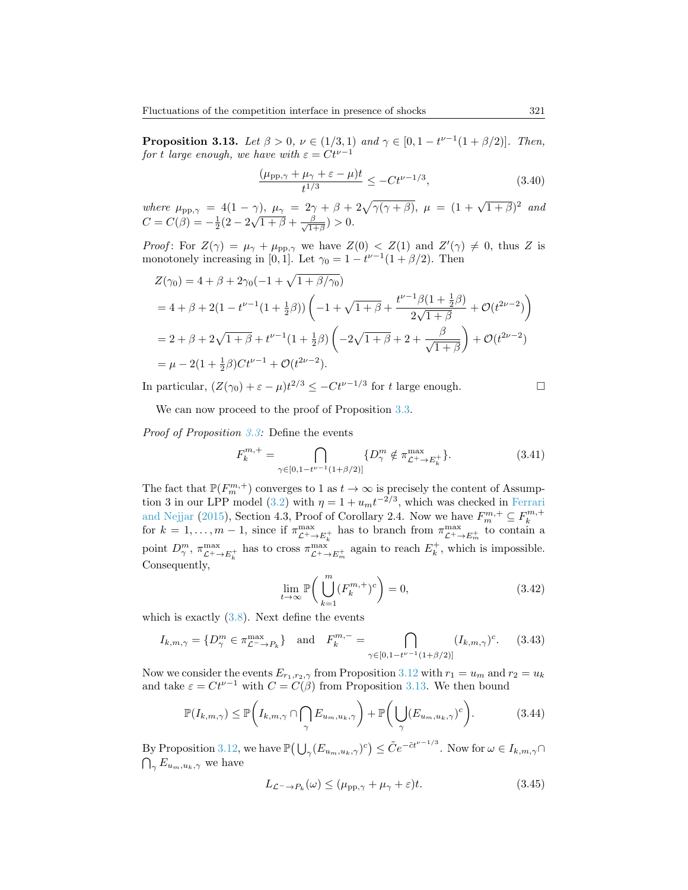<span id="page-22-0"></span>**Proposition 3.13.** Let  $\beta > 0$ ,  $\nu \in (1/3, 1)$  and  $\gamma \in [0, 1 - t^{\nu-1}(1 + \beta/2)]$ . Then, for t large enough, we have with  $\varepsilon = Ct^{\nu-1}$ 

$$
\frac{(\mu_{\rm pp, \gamma} + \mu_{\gamma} + \varepsilon - \mu)t}{t^{1/3}} \le -Ct^{\nu - 1/3},\tag{3.40}
$$

where  $\mu_{\text{pp},\gamma} = 4(1-\gamma)$ ,  $\mu_{\gamma} = 2\gamma + \beta + 2\sqrt{\gamma(\gamma+\beta)}$ ,  $\mu = (1 + \sqrt{1+\beta})^2$  and  $C = C(\beta) = -\frac{1}{2}(2 - 2\sqrt{1 + \beta} + \frac{\beta}{\sqrt{1 + \beta}})$  $\frac{\beta}{1+\beta}$ ) > 0.

*Proof*: For  $Z(\gamma) = \mu_{\gamma} + \mu_{\text{pp},\gamma}$  we have  $Z(0) < Z(1)$  and  $Z'(\gamma) \neq 0$ , thus Z is monotonely increasing in [0, 1]. Let  $\gamma_0 = 1 - t^{\nu-1}(1 + \beta/2)$ . Then

$$
Z(\gamma_0) = 4 + \beta + 2\gamma_0(-1 + \sqrt{1 + \beta/\gamma_0})
$$
  
= 4 + \beta + 2(1 - t^{\nu-1}(1 + \frac{1}{2}\beta)) \left( -1 + \sqrt{1 + \beta} + \frac{t^{\nu-1}\beta(1 + \frac{1}{2}\beta)}{2\sqrt{1 + \beta}} + \mathcal{O}(t^{2\nu-2}) \right)  
= 2 + \beta + 2\sqrt{1 + \beta} + t^{\nu-1}(1 + \frac{1}{2}\beta) \left( -2\sqrt{1 + \beta} + 2 + \frac{\beta}{\sqrt{1 + \beta}} \right) + \mathcal{O}(t^{2\nu-2})  
= \mu - 2(1 + \frac{1}{2}\beta)Ct^{\nu-1} + \mathcal{O}(t^{2\nu-2}).

In particular,  $(Z(\gamma_0) + \varepsilon - \mu)t^{2/3} \leq -Ct^{\nu-1/3}$  for t large enough.

$$
\Box
$$

We can now proceed to the proof of Proposition [3.3.](#page-17-1)

Proof of Proposition [3.3:](#page-17-1) Define the events

$$
F_k^{m,+} = \bigcap_{\gamma \in [0,1-t^{\nu-1}(1+\beta/2)]} \{D_{\gamma}^m \notin \pi_{\mathcal{L}^+ \to E_k^+}^{\max} \}.
$$
 (3.41)

The fact that  $\mathbb{P}(F_m^{m,+})$  converges to 1 as  $t \to \infty$  is precisely the content of Assump-tion 3 in our LPP model [\(3.2\)](#page-15-1) with  $\eta = 1 + u_m t^{-2/3}$ , which was checked in [Ferrari](#page-25-0) [and Nejjar](#page-25-0) [\(2015\)](#page-25-0), Section 4.3, Proof of Corollary 2.4. Now we have  $F_m^{m,+} \subseteq F_k^{m,+}$  for  $k = 1, \ldots, m-1$ , since if  $\pi_{\mathcal{L}^+ \to E_k^+}^{\max}$  has to branch from  $\pi_{\mathcal{L}^+ \to E_m^+}^{\max}$  to contain a point  $D_{\gamma}^m$ ,  $\pi_{\mathcal{L}^+\to E_k^+}^{\max}$  has to cross  $\pi_{\mathcal{L}^+\to E_m^+}^{\max}$  again to reach  $E_k^+$ , which is impossible. Consequently,

$$
\lim_{t \to \infty} \mathbb{P}\bigg(\bigcup_{k=1}^{m} (F_k^{m,+})^c\bigg) = 0,
$$
\n(3.42)

which is exactly  $(3.8)$ . Next define the events

$$
I_{k,m,\gamma} = \{ D_{\gamma}^{m} \in \pi_{\mathcal{L}^{-} \to P_{k}}^{\max} \} \quad \text{and} \quad F_{k}^{m,-} = \bigcap_{\gamma \in [0,1-t^{\nu-1}(1+\beta/2)]} (I_{k,m,\gamma})^{c}.
$$
 (3.43)

Now we consider the events  $E_{r_1,r_2,\gamma}$  from Proposition [3.12](#page-21-2) with  $r_1 = u_m$  and  $r_2 = u_k$ and take  $\varepsilon = Ct^{\nu-1}$  with  $C = C(\beta)$  from Proposition [3.13.](#page-22-0) We then bound

$$
\mathbb{P}(I_{k,m,\gamma}) \le \mathbb{P}\bigg(I_{k,m,\gamma} \cap \bigcap_{\gamma} E_{u_m,u_k,\gamma}\bigg) + \mathbb{P}\bigg(\bigcup_{\gamma} (E_{u_m,u_k,\gamma})^c\bigg). \tag{3.44}
$$

By Proposition [3.12,](#page-21-2) we have  $\mathbb{P}(\bigcup_{\gamma}(E_{u_m,u_k,\gamma})^c)\leq \tilde{C}e^{-\tilde{c}t^{\nu-1/3}}$ . Now for  $\omega\in I_{k,m,\gamma}\cap$  $\bigcap_{\gamma} E_{u_m,u_k,\gamma}$  we have

$$
L_{\mathcal{L}^{-}\to P_{k}}(\omega) \le (\mu_{\text{pp},\gamma} + \mu_{\gamma} + \varepsilon)t. \tag{3.45}
$$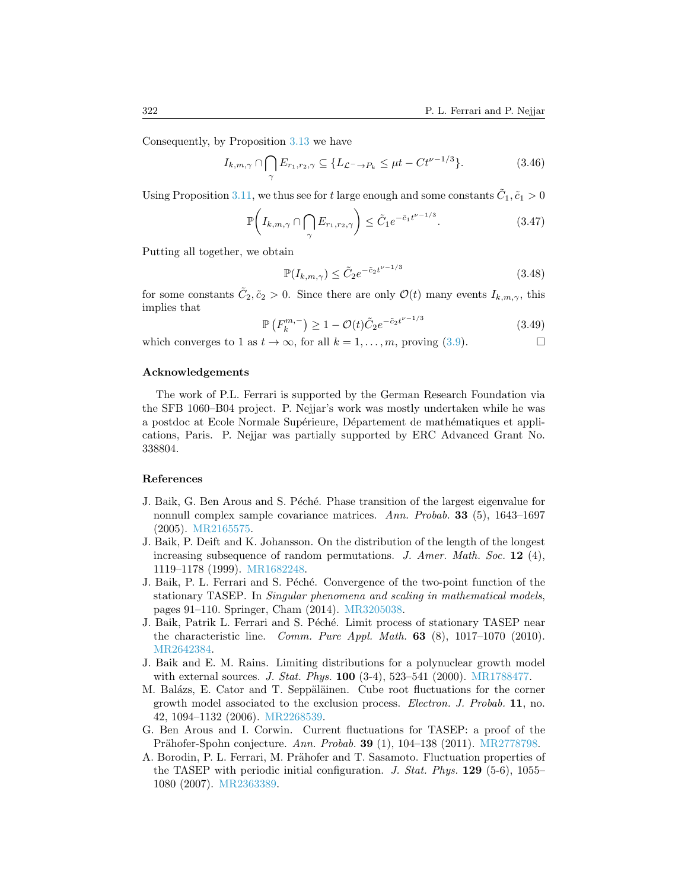Consequently, by Proposition [3.13](#page-22-0) we have

$$
I_{k,m,\gamma} \cap \bigcap_{\gamma} E_{r_1,r_2,\gamma} \subseteq \{ L_{\mathcal{L}^- \to P_k} \le \mu t - Ct^{\nu - 1/3} \}.
$$
 (3.46)

Using Proposition [3.11,](#page-21-3) we thus see for t large enough and some constants  $\tilde{C}_1$ ,  $\tilde{c}_1 > 0$ 

$$
\mathbb{P}\left(I_{k,m,\gamma}\cap\bigcap_{\gamma}E_{r_1,r_2,\gamma}\right)\leq \tilde{C}_1e^{-\tilde{c}_1t^{\nu-1/3}}.\tag{3.47}
$$

Putting all together, we obtain

$$
\mathbb{P}(I_{k,m,\gamma}) \le \tilde{C}_2 e^{-\tilde{c}_2 t^{\nu - 1/3}} \tag{3.48}
$$

for some constants  $\tilde{C}_2, \tilde{c}_2 > 0$ . Since there are only  $\mathcal{O}(t)$  many events  $I_{k,m,\gamma}$ , this implies that

$$
\mathbb{P}\left(F_k^{m,-}\right) \ge 1 - \mathcal{O}(t)\tilde{C}_2 e^{-\tilde{c}_2 t^{\nu - 1/3}}\tag{3.49}
$$

which converges to 1 as  $t \to \infty$ , for all  $k = 1, \ldots, m$ , proving [\(3.9\)](#page-17-6).

## Acknowledgements

The work of P.L. Ferrari is supported by the German Research Foundation via the SFB 1060–B04 project. P. Nejjar's work was mostly undertaken while he was a postdoc at Ecole Normale Supérieure, Département de mathématiques et applications, Paris. P. Nejjar was partially supported by ERC Advanced Grant No. 338804.

#### References

- <span id="page-23-7"></span>J. Baik, G. Ben Arous and S. Péché. Phase transition of the largest eigenvalue for nonnull complex sample covariance matrices. Ann. Probab. 33 (5), 1643–1697 (2005). [MR2165575.](http://www.ams.org/mathscinet-getitem?mr=MR2165575)
- <span id="page-23-0"></span>J. Baik, P. Deift and K. Johansson. On the distribution of the length of the longest increasing subsequence of random permutations. J. Amer. Math. Soc.  $12$  (4), 1119–1178 (1999). [MR1682248.](http://www.ams.org/mathscinet-getitem?mr=MR1682248)
- <span id="page-23-5"></span>J. Baik, P. L. Ferrari and S. Péché. Convergence of the two-point function of the stationary TASEP. In Singular phenomena and scaling in mathematical models, pages 91–110. Springer, Cham (2014). [MR3205038.](http://www.ams.org/mathscinet-getitem?mr=MR3205038)
- <span id="page-23-3"></span>J. Baik, Patrik L. Ferrari and S. Péché. Limit process of stationary TASEP near the characteristic line. Comm. Pure Appl. Math.  $63$  (8),  $1017-1070$  (2010). [MR2642384.](http://www.ams.org/mathscinet-getitem?mr=MR2642384)
- <span id="page-23-1"></span>J. Baik and E. M. Rains. Limiting distributions for a polynuclear growth model with external sources. J. Stat. Phys.  $100$  (3-4), 523–541 (2000). [MR1788477.](http://www.ams.org/mathscinet-getitem?mr=MR1788477)
- <span id="page-23-4"></span>M. Balázs, E. Cator and T. Seppäläinen. Cube root fluctuations for the corner growth model associated to the exclusion process. Electron. J. Probab. 11, no. 42, 1094–1132 (2006). [MR2268539.](http://www.ams.org/mathscinet-getitem?mr=MR2268539)
- <span id="page-23-6"></span>G. Ben Arous and I. Corwin. Current fluctuations for TASEP: a proof of the Prähofer-Spohn conjecture. Ann. Probab. 39  $(1)$ , 104–138  $(2011)$ . [MR2778798.](http://www.ams.org/mathscinet-getitem?mr=MR2778798)
- <span id="page-23-2"></span>A. Borodin, P. L. Ferrari, M. Prähofer and T. Sasamoto. Fluctuation properties of the TASEP with periodic initial configuration. J. Stat. Phys.  $129(5-6)$ ,  $1055-$ 1080 (2007). [MR2363389.](http://www.ams.org/mathscinet-getitem?mr=MR2363389)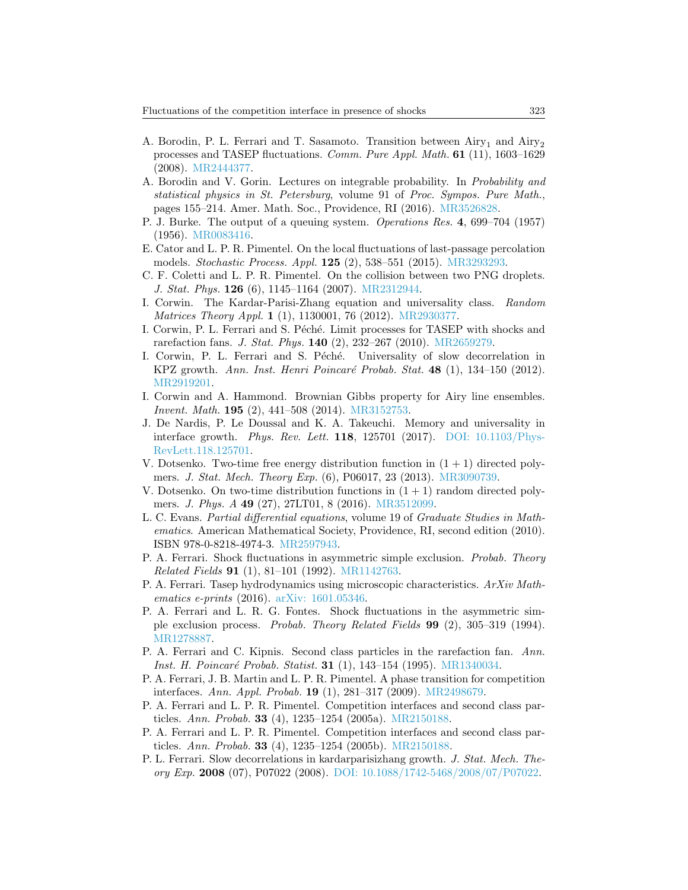- <span id="page-24-17"></span>A. Borodin, P. L. Ferrari and T. Sasamoto. Transition between  $Airy_1$  and  $Airy_2$ processes and TASEP fluctuations. Comm. Pure Appl. Math. 61 (11), 1603–1629 (2008). [MR2444377.](http://www.ams.org/mathscinet-getitem?mr=MR2444377)
- <span id="page-24-2"></span>A. Borodin and V. Gorin. Lectures on integrable probability. In Probability and statistical physics in St. Petersburg, volume 91 of Proc. Sympos. Pure Math., pages 155–214. Amer. Math. Soc., Providence, RI (2016). [MR3526828.](http://www.ams.org/mathscinet-getitem?mr=MR3526828)
- <span id="page-24-19"></span>P. J. Burke. The output of a queuing system. Operations Res. 4, 699–704 (1957) (1956). [MR0083416.](http://www.ams.org/mathscinet-getitem?mr=MR0083416)
- <span id="page-24-3"></span>E. Cator and L. P. R. Pimentel. On the local fluctuations of last-passage percolation models. Stochastic Process. Appl. 125 (2), 538–551 (2015). [MR3293293.](http://www.ams.org/mathscinet-getitem?mr=MR3293293)
- <span id="page-24-8"></span>C. F. Coletti and L. P. R. Pimentel. On the collision between two PNG droplets. J. Stat. Phys. 126 (6), 1145–1164 (2007). [MR2312944.](http://www.ams.org/mathscinet-getitem?mr=MR2312944)
- <span id="page-24-1"></span>I. Corwin. The Kardar-Parisi-Zhang equation and universality class. Random Matrices Theory Appl. 1 (1), 1130001, 76 (2012). [MR2930377.](http://www.ams.org/mathscinet-getitem?mr=MR2930377)
- <span id="page-24-18"></span>I. Corwin, P. L. Ferrari and S. Péché. Limit processes for TASEP with shocks and rarefaction fans. *J. Stat. Phys.* **140**  $(2)$ ,  $232-267$   $(2010)$ . [MR2659279.](http://www.ams.org/mathscinet-getitem?mr=MR2659279)
- <span id="page-24-11"></span>I. Corwin, P. L. Ferrari and S. Péché. Universality of slow decorrelation in KPZ growth. Ann. Inst. Henri Poincaré Probab. Stat. 48 (1), 134-150 (2012). [MR2919201.](http://www.ams.org/mathscinet-getitem?mr=MR2919201)
- <span id="page-24-20"></span>I. Corwin and A. Hammond. Brownian Gibbs property for Airy line ensembles. Invent. Math. 195 (2), 441–508 (2014). [MR3152753.](http://www.ams.org/mathscinet-getitem?mr=MR3152753)
- <span id="page-24-14"></span>J. De Nardis, P. Le Doussal and K. A. Takeuchi. Memory and universality in interface growth. Phys. Rev. Lett. 118, 125701 (2017). [DOI: 10.1103/Phys-](http://dx.doi.org/10.1103/PhysRevLett.118.125701)[RevLett.118.125701.](http://dx.doi.org/10.1103/PhysRevLett.118.125701)
- <span id="page-24-12"></span>V. Dotsenko. Two-time free energy distribution function in  $(1 + 1)$  directed polymers. J. Stat. Mech. Theory Exp. (6), P06017, 23 (2013). [MR3090739.](http://www.ams.org/mathscinet-getitem?mr=MR3090739)
- <span id="page-24-13"></span>V. Dotsenko. On two-time distribution functions in  $(1 + 1)$  random directed polymers. J. Phys. A 49 (27), 27LT01, 8 (2016). [MR3512099.](http://www.ams.org/mathscinet-getitem?mr=MR3512099)
- <span id="page-24-16"></span>L. C. Evans. Partial differential equations, volume 19 of Graduate Studies in Mathematics. American Mathematical Society, Providence, RI, second edition (2010). ISBN 978-0-8218-4974-3. [MR2597943.](http://www.ams.org/mathscinet-getitem?mr=MR2597943)
- <span id="page-24-6"></span>P. A. Ferrari. Shock fluctuations in asymmetric simple exclusion. Probab. Theory Related Fields 91 (1), 81–101 (1992). [MR1142763.](http://www.ams.org/mathscinet-getitem?mr=MR1142763)
- <span id="page-24-15"></span>P. A. Ferrari. Tasep hydrodynamics using microscopic characteristics. ArXiv Mathematics e-prints (2016). [arXiv: 1601.05346.](http://arxiv.org/abs/1601.05346)
- <span id="page-24-7"></span>P. A. Ferrari and L. R. G. Fontes. Shock fluctuations in the asymmetric simple exclusion process. Probab. Theory Related Fields 99 (2), 305–319 (1994). [MR1278887.](http://www.ams.org/mathscinet-getitem?mr=MR1278887)
- <span id="page-24-5"></span>P. A. Ferrari and C. Kipnis. Second class particles in the rarefaction fan. Ann. Inst. H. Poincaré Probab. Statist. 31 (1), 143-154 (1995). [MR1340034.](http://www.ams.org/mathscinet-getitem?mr=MR1340034)
- <span id="page-24-4"></span>P. A. Ferrari, J. B. Martin and L. P. R. Pimentel. A phase transition for competition interfaces. Ann. Appl. Probab. 19 (1), 281–317 (2009). [MR2498679.](http://www.ams.org/mathscinet-getitem?mr=MR2498679)
- <span id="page-24-0"></span>P. A. Ferrari and L. P. R. Pimentel. Competition interfaces and second class particles. Ann. Probab. 33 (4), 1235–1254 (2005a). [MR2150188.](http://www.ams.org/mathscinet-getitem?mr=MR2150188)
- <span id="page-24-9"></span>P. A. Ferrari and L. P. R. Pimentel. Competition interfaces and second class particles. Ann. Probab. 33 (4), 1235–1254 (2005b). [MR2150188.](http://www.ams.org/mathscinet-getitem?mr=MR2150188)
- <span id="page-24-10"></span>P. L. Ferrari. Slow decorrelations in kardarparisizhang growth. J. Stat. Mech. Theory Exp. 2008 (07), P07022 (2008). [DOI: 10.1088/1742-5468/2008/07/P07022.](http://dx.doi.org/10.1088/1742-5468/2008/07/P07022)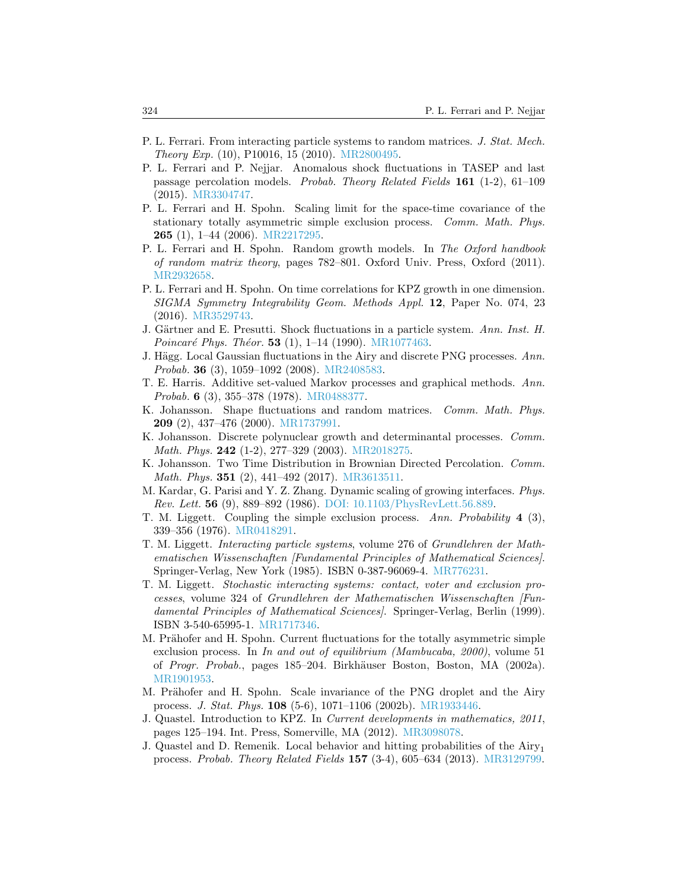- <span id="page-25-7"></span>P. L. Ferrari. From interacting particle systems to random matrices. J. Stat. Mech. Theory Exp. (10), P10016, 15 (2010). [MR2800495.](http://www.ams.org/mathscinet-getitem?mr=MR2800495)
- <span id="page-25-0"></span>P. L. Ferrari and P. Nejjar. Anomalous shock fluctuations in TASEP and last passage percolation models. Probab. Theory Related Fields 161 (1-2), 61–109 (2015). [MR3304747.](http://www.ams.org/mathscinet-getitem?mr=MR3304747)
- <span id="page-25-11"></span>P. L. Ferrari and H. Spohn. Scaling limit for the space-time covariance of the stationary totally asymmetric simple exclusion process. Comm. Math. Phys. 265 (1), 1–44 (2006). [MR2217295.](http://www.ams.org/mathscinet-getitem?mr=MR2217295)
- <span id="page-25-5"></span>P. L. Ferrari and H. Spohn. Random growth models. In The Oxford handbook of random matrix theory, pages 782–801. Oxford Univ. Press, Oxford (2011). [MR2932658.](http://www.ams.org/mathscinet-getitem?mr=MR2932658)
- <span id="page-25-15"></span>P. L. Ferrari and H. Spohn. On time correlations for KPZ growth in one dimension. SIGMA Symmetry Integrability Geom. Methods Appl. 12, Paper No. 074, 23 (2016). [MR3529743.](http://www.ams.org/mathscinet-getitem?mr=MR3529743)
- <span id="page-25-12"></span>J. Gärtner and E. Presutti. Shock fluctuations in a particle system. Ann. Inst. H. Poincaré Phys. Théor. 53  $(1)$ , 1–14  $(1990)$ . [MR1077463.](http://www.ams.org/mathscinet-getitem?mr=MR1077463)
- <span id="page-25-17"></span>J. Hägg. Local Gaussian fluctuations in the Airy and discrete PNG processes.  $Ann.$ Probab. 36 (3), 1059–1092 (2008). [MR2408583.](http://www.ams.org/mathscinet-getitem?mr=MR2408583)
- <span id="page-25-16"></span>T. E. Harris. Additive set-valued Markov processes and graphical methods. Ann. Probab. 6 (3), 355–378 (1978). [MR0488377.](http://www.ams.org/mathscinet-getitem?mr=MR0488377)
- <span id="page-25-1"></span>K. Johansson. Shape fluctuations and random matrices. Comm. Math. Phys. 209 (2), 437–476 (2000). [MR1737991.](http://www.ams.org/mathscinet-getitem?mr=MR1737991)
- <span id="page-25-8"></span>K. Johansson. Discrete polynuclear growth and determinantal processes. Comm. *Math. Phys.* **242** (1-2), 277-329 (2003). *[MR2018275.](http://www.ams.org/mathscinet-getitem?mr=MR2018275)*
- <span id="page-25-14"></span>K. Johansson. Two Time Distribution in Brownian Directed Percolation. Comm. Math. Phys. 351 (2), 441–492 (2017). [MR3613511.](http://www.ams.org/mathscinet-getitem?mr=MR3613511)
- <span id="page-25-4"></span>M. Kardar, G. Parisi and Y. Z. Zhang. Dynamic scaling of growing interfaces. Phys. Rev. Lett. 56 (9), 889–892 (1986). [DOI: 10.1103/PhysRevLett.56.889.](http://dx.doi.org/10.1103/PhysRevLett.56.889)
- <span id="page-25-13"></span>T. M. Liggett. Coupling the simple exclusion process. Ann. Probability 4 (3), 339–356 (1976). [MR0418291.](http://www.ams.org/mathscinet-getitem?mr=MR0418291)
- <span id="page-25-2"></span>T. M. Liggett. Interacting particle systems, volume 276 of Grundlehren der Mathematischen Wissenschaften [Fundamental Principles of Mathematical Sciences]. Springer-Verlag, New York (1985). ISBN 0-387-96069-4. [MR776231.](http://www.ams.org/mathscinet-getitem?mr=MR776231)
- <span id="page-25-3"></span>T. M. Liggett. Stochastic interacting systems: contact, voter and exclusion processes, volume 324 of Grundlehren der Mathematischen Wissenschaften [Fundamental Principles of Mathematical Sciences]. Springer-Verlag, Berlin (1999). ISBN 3-540-65995-1. [MR1717346.](http://www.ams.org/mathscinet-getitem?mr=MR1717346)
- <span id="page-25-10"></span>M. Prähofer and H. Spohn. Current fluctuations for the totally asymmetric simple exclusion process. In In and out of equilibrium (Mambucaba, 2000), volume 51 of Progr. Probab., pages 185–204. Birkhäuser Boston, Boston, MA (2002a). [MR1901953.](http://www.ams.org/mathscinet-getitem?mr=MR1901953)
- <span id="page-25-9"></span>M. Prähofer and H. Spohn. Scale invariance of the PNG droplet and the Airy process. J. Stat. Phys. 108 (5-6), 1071–1106 (2002b). [MR1933446.](http://www.ams.org/mathscinet-getitem?mr=MR1933446)
- <span id="page-25-6"></span>J. Quastel. Introduction to KPZ. In Current developments in mathematics, 2011, pages 125–194. Int. Press, Somerville, MA (2012). [MR3098078.](http://www.ams.org/mathscinet-getitem?mr=MR3098078)
- <span id="page-25-18"></span>J. Quastel and D. Remenik. Local behavior and hitting probabilities of the  $Airy_1$ process. Probab. Theory Related Fields 157 (3-4), 605–634 (2013). [MR3129799.](http://www.ams.org/mathscinet-getitem?mr=MR3129799)